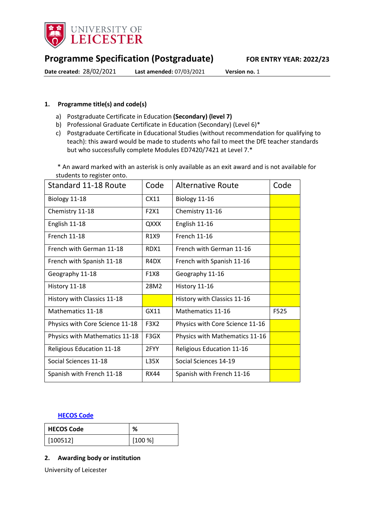

# **Programme Specification (Postgraduate) FOR ENTRY YEAR: 2022/23**

**Date created:** 28/02/2021 **Last amended:** 07/03/2021 **Version no.** 1

### <span id="page-0-0"></span>**1. Programme title(s) and code(s)**

- a) Postgraduate Certificate in Education **(Secondary) (level 7)**
- b) Professional Graduate Certificate in Education (Secondary) (Level 6)\*
- c) Postgraduate Certificate in Educational Studies (without recommendation for qualifying to teach): this award would be made to students who fail to meet the DfE teacher standards but who successfully complete Modules ED7420/7421 at Level 7.\*

\* An award marked with an asterisk is only available as an exit award and is not available for students to register onto.

| <b>Standard 11-18 Route</b>     | Code                          | <b>Alternative Route</b>        | Code |
|---------------------------------|-------------------------------|---------------------------------|------|
| Biology 11-18                   | CX11                          | Biology 11-16                   |      |
| Chemistry 11-18                 | F2X1                          | Chemistry 11-16                 |      |
| English 11-18                   | QXXX                          | English 11-16                   |      |
| <b>French 11-18</b>             | R <sub>1</sub> X <sub>9</sub> | <b>French 11-16</b>             |      |
| French with German 11-18        | RDX1                          | French with German 11-16        |      |
| French with Spanish 11-18       | R <sub>4</sub> D <sub>X</sub> | French with Spanish 11-16       |      |
| Geography 11-18                 | F1X8                          | Geography 11-16                 |      |
| History 11-18                   | 28M2                          | History 11-16                   |      |
| History with Classics 11-18     |                               | History with Classics 11-16     |      |
| Mathematics 11-18               | GX11                          | Mathematics 11-16               | F525 |
| Physics with Core Science 11-18 | F3X2                          | Physics with Core Science 11-16 |      |
| Physics with Mathematics 11-18  | F3GX                          | Physics with Mathematics 11-16  |      |
| Religious Education 11-18       | 2FYY                          | Religious Education 11-16       |      |
| Social Sciences 11-18           | L35X                          | Social Sciences 14-19           |      |
| Spanish with French 11-18       | <b>RX44</b>                   | Spanish with French 11-16       |      |

#### **[HECOS Code](https://www.hesa.ac.uk/innovation/hecos)**

| <b>HECOS Code</b> | %      |
|-------------------|--------|
| [100512]          | [100%] |

### **2. Awarding body or institution**

University of Leicester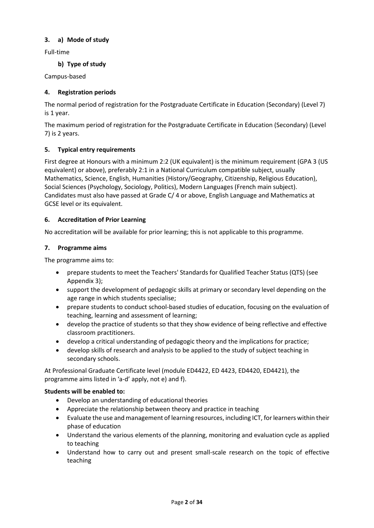### **3. a) Mode of study**

Full-time

### **b) Type of study**

Campus-based

### **4. Registration periods**

The normal period of registration for the Postgraduate Certificate in Education (Secondary) (Level 7) is 1 year.

The maximum period of registration for the Postgraduate Certificate in Education (Secondary) (Level 7) is 2 years.

### **5. Typical entry requirements**

First degree at Honours with a minimum 2:2 (UK equivalent) is the minimum requirement (GPA 3 (US equivalent) or above), preferably 2:1 in a National Curriculum compatible subject, usually Mathematics, Science, English, Humanities (History/Geography, Citizenship, Religious Education), Social Sciences (Psychology, Sociology, Politics), Modern Languages (French main subject). Candidates must also have passed at Grade C/ 4 or above, English Language and Mathematics at GCSE level or its equivalent.

### **6. Accreditation of Prior Learning**

No accreditation will be available for prior learning; this is not applicable to this programme.

### **7. Programme aims**

The programme aims to:

- prepare students to meet the Teachers' Standards for Qualified Teacher Status (QTS) (see Appendix 3);
- support the development of pedagogic skills at primary or secondary level depending on the age range in which students specialise;
- prepare students to conduct school-based studies of education, focusing on the evaluation of teaching, learning and assessment of learning;
- develop the practice of students so that they show evidence of being reflective and effective classroom practitioners.
- develop a critical understanding of pedagogic theory and the implications for practice;
- develop skills of research and analysis to be applied to the study of subject teaching in secondary schools.

At Professional Graduate Certificate level (module ED4422, ED 4423, ED4420, ED4421), the programme aims listed in 'a-d' apply, not e) and f).

### **Students will be enabled to:**

- Develop an understanding of educational theories
- Appreciate the relationship between theory and practice in teaching
- Evaluate the use and management of learning resources, including ICT, for learners within their phase of education
- Understand the various elements of the planning, monitoring and evaluation cycle as applied to teaching
- Understand how to carry out and present small-scale research on the topic of effective teaching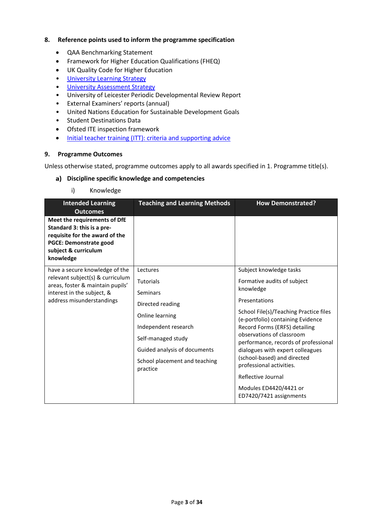### **8. Reference points used to inform the programme specification**

- QAA Benchmarking Statement
- Framework for Higher Education Qualifications (FHEQ)
- UK Quality Code for Higher Education
- [University Learning](https://www2.le.ac.uk/offices/sas2/quality/learnteach) Strategy
- [University Assessment Strategy](https://www2.le.ac.uk/offices/sas2/quality/learnteach)
- University of Leicester Periodic Developmental Review Report
- External Examiners' reports (annual)
- United Nations Education for Sustainable Development Goals
- Student Destinations Data
- Ofsted ITE inspection framework
- [Initial teacher training \(ITT\): criteria and supporting advice](https://www.gov.uk/government/publications/initial-teacher-training-criteria/initial-teacher-training-itt-criteria-and-supporting-advice)

#### **9. Programme Outcomes**

Unless otherwise stated, programme outcomes apply to all awards specified in [1.](#page-0-0) Programme title(s).

#### **Discipline specific knowledge and competencies**

i) Knowledge

| <b>Intended Learning</b><br><b>Outcomes</b>                                                                                                                        | <b>Teaching and Learning Methods</b>                                                                                                                                                                              | <b>How Demonstrated?</b>                                                                                                                                                                                                                                                                                                                                                                                                 |
|--------------------------------------------------------------------------------------------------------------------------------------------------------------------|-------------------------------------------------------------------------------------------------------------------------------------------------------------------------------------------------------------------|--------------------------------------------------------------------------------------------------------------------------------------------------------------------------------------------------------------------------------------------------------------------------------------------------------------------------------------------------------------------------------------------------------------------------|
| Meet the requirements of DfE<br>Standard 3: this is a pre-<br>requisite for the award of the<br><b>PGCE: Demonstrate good</b><br>subject & curriculum<br>knowledge |                                                                                                                                                                                                                   |                                                                                                                                                                                                                                                                                                                                                                                                                          |
| have a secure knowledge of the<br>relevant subject(s) & curriculum<br>areas, foster & maintain pupils'<br>interest in the subject, &<br>address misunderstandings  | Lectures<br><b>Tutorials</b><br><b>Seminars</b><br>Directed reading<br>Online learning<br>Independent research<br>Self-managed study<br>Guided analysis of documents<br>School placement and teaching<br>practice | Subject knowledge tasks<br>Formative audits of subject<br>knowledge<br>Presentations<br>School File(s)/Teaching Practice files<br>(e-portfolio) containing Evidence<br>Record Forms (ERFS) detailing<br>observations of classroom<br>performance, records of professional<br>dialogues with expert colleagues<br>(school-based) and directed<br>professional activities.<br>Reflective Journal<br>Modules ED4420/4421 or |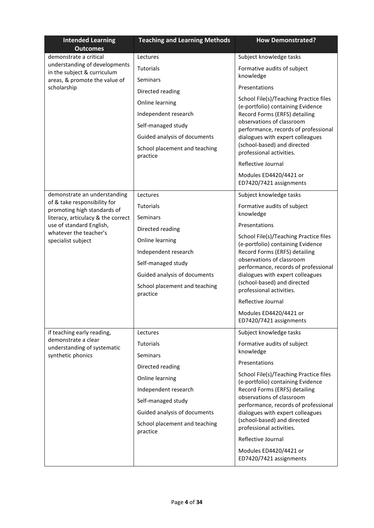| <b>Intended Learning</b><br><b>Outcomes</b>                  | <b>Teaching and Learning Methods</b>      | <b>How Demonstrated?</b>                                                                           |
|--------------------------------------------------------------|-------------------------------------------|----------------------------------------------------------------------------------------------------|
| demonstrate a critical                                       | Lectures                                  | Subject knowledge tasks                                                                            |
| understanding of developments<br>in the subject & curriculum | <b>Tutorials</b>                          | Formative audits of subject                                                                        |
| areas, & promote the value of                                | Seminars                                  | knowledge                                                                                          |
| scholarship                                                  | Directed reading                          | Presentations                                                                                      |
|                                                              | Online learning                           | School File(s)/Teaching Practice files<br>(e-portfolio) containing Evidence                        |
|                                                              | Independent research                      | Record Forms (ERFS) detailing                                                                      |
|                                                              | Self-managed study                        | observations of classroom<br>performance, records of professional                                  |
|                                                              | Guided analysis of documents              | dialogues with expert colleagues                                                                   |
|                                                              | School placement and teaching<br>practice | (school-based) and directed<br>professional activities.                                            |
|                                                              |                                           | Reflective Journal                                                                                 |
|                                                              |                                           | Modules ED4420/4421 or<br>ED7420/7421 assignments                                                  |
| demonstrate an understanding                                 | Lectures                                  | Subject knowledge tasks                                                                            |
| of & take responsibility for<br>promoting high standards of  | <b>Tutorials</b>                          | Formative audits of subject                                                                        |
| literacy, articulacy & the correct                           | Seminars                                  | knowledge                                                                                          |
| use of standard English,<br>whatever the teacher's           | Directed reading                          | Presentations                                                                                      |
| specialist subject                                           | Online learning                           | School File(s)/Teaching Practice files<br>(e-portfolio) containing Evidence                        |
|                                                              | Independent research                      | Record Forms (ERFS) detailing<br>observations of classroom<br>performance, records of professional |
|                                                              | Self-managed study                        |                                                                                                    |
|                                                              | Guided analysis of documents              | dialogues with expert colleagues                                                                   |
|                                                              | School placement and teaching<br>practice | (school-based) and directed<br>professional activities.                                            |
|                                                              |                                           | Reflective Journal                                                                                 |
|                                                              |                                           | Modules ED4420/4421 or<br>ED7420/7421 assignments                                                  |
| if teaching early reading,<br>demonstrate a clear            | Lectures                                  | Subject knowledge tasks                                                                            |
| understanding of systematic                                  | <b>Tutorials</b>                          | Formative audits of subject                                                                        |
| synthetic phonics                                            | Seminars                                  | knowledge<br>Presentations                                                                         |
|                                                              | Directed reading                          |                                                                                                    |
|                                                              | Online learning                           | School File(s)/Teaching Practice files<br>(e-portfolio) containing Evidence                        |
|                                                              | Independent research                      | Record Forms (ERFS) detailing<br>observations of classroom                                         |
|                                                              | Self-managed study                        | performance, records of professional                                                               |
|                                                              | Guided analysis of documents              | dialogues with expert colleagues<br>(school-based) and directed                                    |
|                                                              | School placement and teaching<br>practice | professional activities.                                                                           |
|                                                              |                                           | Reflective Journal                                                                                 |
|                                                              |                                           | Modules ED4420/4421 or<br>ED7420/7421 assignments                                                  |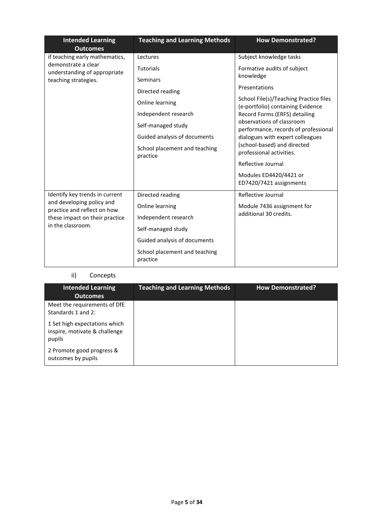| <b>Intended Learning</b><br><b>Outcomes</b>              | <b>Teaching and Learning Methods</b>      | <b>How Demonstrated?</b>                                                    |
|----------------------------------------------------------|-------------------------------------------|-----------------------------------------------------------------------------|
| if teaching early mathematics,                           | Lectures                                  | Subject knowledge tasks                                                     |
| demonstrate a clear<br>understanding of appropriate      | <b>Tutorials</b>                          | Formative audits of subject                                                 |
| teaching strategies.                                     | Seminars                                  | knowledge                                                                   |
|                                                          | Directed reading                          | Presentations                                                               |
|                                                          | Online learning                           | School File(s)/Teaching Practice files<br>(e-portfolio) containing Evidence |
|                                                          | Independent research                      | Record Forms (ERFS) detailing                                               |
|                                                          | Self-managed study                        | observations of classroom<br>performance, records of professional           |
|                                                          | Guided analysis of documents              | dialogues with expert colleagues                                            |
|                                                          | School placement and teaching<br>practice | (school-based) and directed<br>professional activities.                     |
|                                                          |                                           | Reflective Journal                                                          |
|                                                          |                                           | Modules ED4420/4421 or                                                      |
|                                                          |                                           | ED7420/7421 assignments                                                     |
| Identify key trends in current                           | Directed reading                          | Reflective Journal                                                          |
| and developing policy and<br>practice and reflect on how | Online learning                           | Module 7436 assignment for                                                  |
| these impact on their practice                           | Independent research                      | additional 30 credits.                                                      |
| in the classroom.                                        | Self-managed study                        |                                                                             |
|                                                          | Guided analysis of documents              |                                                                             |
|                                                          | School placement and teaching<br>practice |                                                                             |

## ii) Concepts

| <b>Intended Learning</b><br><b>Outcomes</b>                              | <b>Teaching and Learning Methods</b> | <b>How Demonstrated?</b> |
|--------------------------------------------------------------------------|--------------------------------------|--------------------------|
| Meet the requirements of DfE<br>Standards 1 and 2:                       |                                      |                          |
| 1 Set high expectations which<br>inspire, motivate & challenge<br>pupils |                                      |                          |
| 2 Promote good progress &<br>outcomes by pupils                          |                                      |                          |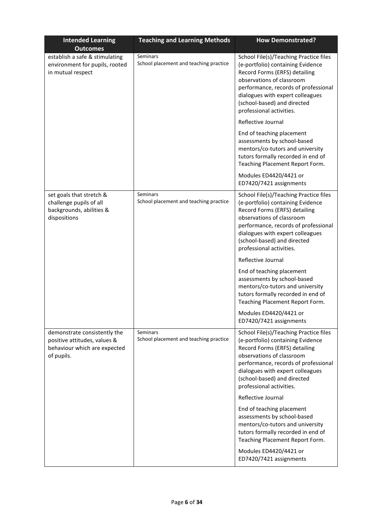| <b>Intended Learning</b><br><b>Outcomes</b>                                                                | <b>Teaching and Learning Methods</b>                      | <b>How Demonstrated?</b>                                                                                                                                                                                                                                                                                                                                                                                                                                                        |
|------------------------------------------------------------------------------------------------------------|-----------------------------------------------------------|---------------------------------------------------------------------------------------------------------------------------------------------------------------------------------------------------------------------------------------------------------------------------------------------------------------------------------------------------------------------------------------------------------------------------------------------------------------------------------|
| establish a safe & stimulating<br>environment for pupils, rooted<br>in mutual respect                      | Seminars<br>School placement and teaching practice        | School File(s)/Teaching Practice files<br>(e-portfolio) containing Evidence<br>Record Forms (ERFS) detailing<br>observations of classroom<br>performance, records of professional<br>dialogues with expert colleagues<br>(school-based) and directed<br>professional activities.                                                                                                                                                                                                |
|                                                                                                            |                                                           | Reflective Journal                                                                                                                                                                                                                                                                                                                                                                                                                                                              |
|                                                                                                            |                                                           | End of teaching placement<br>assessments by school-based<br>mentors/co-tutors and university<br>tutors formally recorded in end of<br>Teaching Placement Report Form.                                                                                                                                                                                                                                                                                                           |
|                                                                                                            |                                                           | Modules ED4420/4421 or<br>ED7420/7421 assignments                                                                                                                                                                                                                                                                                                                                                                                                                               |
| set goals that stretch &<br>challenge pupils of all<br>backgrounds, abilities &<br>dispositions            | Seminars<br>School placement and teaching practice        | School File(s)/Teaching Practice files<br>(e-portfolio) containing Evidence<br>Record Forms (ERFS) detailing<br>observations of classroom<br>performance, records of professional<br>dialogues with expert colleagues<br>(school-based) and directed<br>professional activities.<br>Reflective Journal<br>End of teaching placement<br>assessments by school-based<br>mentors/co-tutors and university<br>tutors formally recorded in end of<br>Teaching Placement Report Form. |
|                                                                                                            |                                                           | Modules ED4420/4421 or<br>ED7420/7421 assignments                                                                                                                                                                                                                                                                                                                                                                                                                               |
| demonstrate consistently the<br>positive attitudes, values &<br>behaviour which are expected<br>of pupils. | <b>Seminars</b><br>School placement and teaching practice | School File(s)/Teaching Practice files<br>(e-portfolio) containing Evidence<br>Record Forms (ERFS) detailing<br>observations of classroom<br>performance, records of professional<br>dialogues with expert colleagues<br>(school-based) and directed<br>professional activities.<br>Reflective Journal                                                                                                                                                                          |
|                                                                                                            |                                                           | End of teaching placement<br>assessments by school-based<br>mentors/co-tutors and university<br>tutors formally recorded in end of<br>Teaching Placement Report Form.                                                                                                                                                                                                                                                                                                           |
|                                                                                                            |                                                           | Modules ED4420/4421 or<br>ED7420/7421 assignments                                                                                                                                                                                                                                                                                                                                                                                                                               |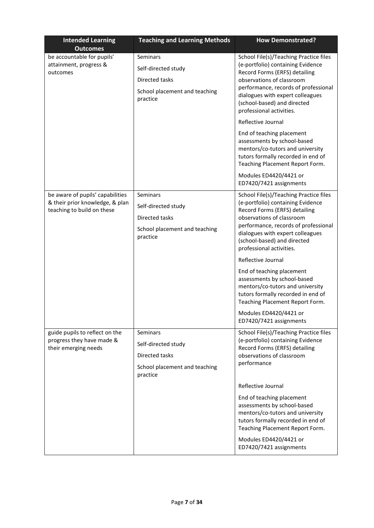| <b>Intended Learning</b><br><b>Outcomes</b>                                                       | <b>Teaching and Learning Methods</b>                                                                  | <b>How Demonstrated?</b>                                                                                                                                                                                                                                                                                                                                                                                                                                                                                                                                        |
|---------------------------------------------------------------------------------------------------|-------------------------------------------------------------------------------------------------------|-----------------------------------------------------------------------------------------------------------------------------------------------------------------------------------------------------------------------------------------------------------------------------------------------------------------------------------------------------------------------------------------------------------------------------------------------------------------------------------------------------------------------------------------------------------------|
| be accountable for pupils'<br>attainment, progress &<br>outcomes                                  | <b>Seminars</b><br>Self-directed study<br>Directed tasks<br>School placement and teaching<br>practice | School File(s)/Teaching Practice files<br>(e-portfolio) containing Evidence<br>Record Forms (ERFS) detailing<br>observations of classroom<br>performance, records of professional<br>dialogues with expert colleagues<br>(school-based) and directed<br>professional activities.<br>Reflective Journal<br>End of teaching placement<br>assessments by school-based<br>mentors/co-tutors and university<br>tutors formally recorded in end of<br>Teaching Placement Report Form.<br>Modules ED4420/4421 or                                                       |
| be aware of pupils' capabilities<br>& their prior knowledge, & plan<br>teaching to build on these | Seminars<br>Self-directed study<br>Directed tasks<br>School placement and teaching<br>practice        | ED7420/7421 assignments<br>School File(s)/Teaching Practice files<br>(e-portfolio) containing Evidence<br>Record Forms (ERFS) detailing<br>observations of classroom<br>performance, records of professional<br>dialogues with expert colleagues<br>(school-based) and directed<br>professional activities.<br>Reflective Journal<br>End of teaching placement<br>assessments by school-based<br>mentors/co-tutors and university<br>tutors formally recorded in end of<br>Teaching Placement Report Form.<br>Modules ED4420/4421 or<br>ED7420/7421 assignments |
| guide pupils to reflect on the<br>progress they have made &<br>their emerging needs               | Seminars<br>Self-directed study<br>Directed tasks<br>School placement and teaching<br>practice        | School File(s)/Teaching Practice files<br>(e-portfolio) containing Evidence<br>Record Forms (ERFS) detailing<br>observations of classroom<br>performance<br>Reflective Journal<br>End of teaching placement<br>assessments by school-based<br>mentors/co-tutors and university<br>tutors formally recorded in end of<br>Teaching Placement Report Form.<br>Modules ED4420/4421 or<br>ED7420/7421 assignments                                                                                                                                                    |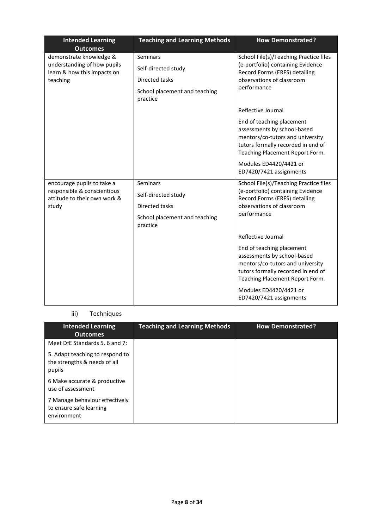| <b>Intended Learning</b><br><b>Outcomes</b>                                               | <b>Teaching and Learning Methods</b>      | <b>How Demonstrated?</b>                                                                                                                                              |
|-------------------------------------------------------------------------------------------|-------------------------------------------|-----------------------------------------------------------------------------------------------------------------------------------------------------------------------|
| demonstrate knowledge &                                                                   | Seminars                                  | School File(s)/Teaching Practice files                                                                                                                                |
| understanding of how pupils<br>learn & how this impacts on                                | Self-directed study                       | (e-portfolio) containing Evidence<br>Record Forms (ERFS) detailing                                                                                                    |
| teaching                                                                                  | Directed tasks                            | observations of classroom<br>performance                                                                                                                              |
|                                                                                           | School placement and teaching<br>practice |                                                                                                                                                                       |
|                                                                                           |                                           | Reflective Journal                                                                                                                                                    |
|                                                                                           |                                           | End of teaching placement<br>assessments by school-based<br>mentors/co-tutors and university<br>tutors formally recorded in end of<br>Teaching Placement Report Form. |
|                                                                                           |                                           | Modules ED4420/4421 or<br>ED7420/7421 assignments                                                                                                                     |
| encourage pupils to take a<br>responsible & conscientious<br>attitude to their own work & | Seminars                                  | School File(s)/Teaching Practice files<br>(e-portfolio) containing Evidence<br>Record Forms (ERFS) detailing                                                          |
|                                                                                           | Self-directed study                       |                                                                                                                                                                       |
| study                                                                                     | Directed tasks                            | observations of classroom                                                                                                                                             |
|                                                                                           | School placement and teaching<br>practice | performance                                                                                                                                                           |
|                                                                                           |                                           | Reflective Journal                                                                                                                                                    |
|                                                                                           |                                           | End of teaching placement<br>assessments by school-based<br>mentors/co-tutors and university<br>tutors formally recorded in end of<br>Teaching Placement Report Form. |
|                                                                                           |                                           | Modules ED4420/4421 or<br>ED7420/7421 assignments                                                                                                                     |

### iii) Techniques

| <b>Intended Learning</b><br><b>Outcomes</b>                               | <b>Teaching and Learning Methods</b> | <b>How Demonstrated?</b> |
|---------------------------------------------------------------------------|--------------------------------------|--------------------------|
| Meet DfE Standards 5, 6 and 7:                                            |                                      |                          |
| 5. Adapt teaching to respond to<br>the strengths & needs of all<br>pupils |                                      |                          |
| 6 Make accurate & productive<br>use of assessment                         |                                      |                          |
| 7 Manage behaviour effectively<br>to ensure safe learning<br>environment  |                                      |                          |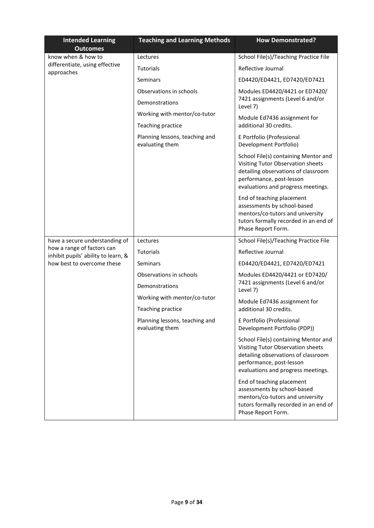| <b>Intended Learning</b><br><b>Outcomes</b>                       | <b>Teaching and Learning Methods</b>              | <b>How Demonstrated?</b>                                                                                                                                                           |
|-------------------------------------------------------------------|---------------------------------------------------|------------------------------------------------------------------------------------------------------------------------------------------------------------------------------------|
| know when & how to                                                | Lectures                                          | School File(s)/Teaching Practice File                                                                                                                                              |
| differentiate, using effective<br>approaches                      | <b>Tutorials</b>                                  | Reflective Journal                                                                                                                                                                 |
|                                                                   | Seminars                                          | ED4420/ED4421, ED7420/ED7421                                                                                                                                                       |
|                                                                   | Observations in schools                           | Modules ED4420/4421 or ED7420/                                                                                                                                                     |
|                                                                   | Demonstrations                                    | 7421 assignments (Level 6 and/or<br>Level 7)                                                                                                                                       |
|                                                                   | Working with mentor/co-tutor                      | Module Ed7436 assignment for                                                                                                                                                       |
|                                                                   | Teaching practice                                 | additional 30 credits.                                                                                                                                                             |
|                                                                   | Planning lessons, teaching and<br>evaluating them | E Portfolio (Professional<br>Development Portfolio)                                                                                                                                |
|                                                                   |                                                   | School File(s) containing Mentor and<br>Visiting Tutor Observation sheets<br>detailing observations of classroom<br>performance, post-lesson<br>evaluations and progress meetings. |
|                                                                   |                                                   | End of teaching placement<br>assessments by school-based<br>mentors/co-tutors and university<br>tutors formally recorded in an end of<br>Phase Report Form.                        |
| have a secure understanding of                                    | Lectures                                          | School File(s)/Teaching Practice File                                                                                                                                              |
| how a range of factors can<br>inhibit pupils' ability to learn, & | Tutorials                                         | Reflective Journal                                                                                                                                                                 |
| how best to overcome these                                        | Seminars                                          | ED4420/ED4421, ED7420/ED7421                                                                                                                                                       |
|                                                                   | Observations in schools                           | Modules ED4420/4421 or ED7420/                                                                                                                                                     |
|                                                                   | Demonstrations                                    | 7421 assignments (Level 6 and/or<br>Level 7)                                                                                                                                       |
|                                                                   | Working with mentor/co-tutor                      | Module Ed7436 assignment for                                                                                                                                                       |
|                                                                   | Teaching practice                                 | additional 30 credits.                                                                                                                                                             |
|                                                                   | Planning lessons, teaching and<br>evaluating them | E Portfolio (Professional<br>Development Portfolio (PDP))                                                                                                                          |
|                                                                   |                                                   | School File(s) containing Mentor and<br>Visiting Tutor Observation sheets<br>detailing observations of classroom<br>performance, post-lesson<br>evaluations and progress meetings. |
|                                                                   |                                                   | End of teaching placement<br>assessments by school-based<br>mentors/co-tutors and university<br>tutors formally recorded in an end of<br>Phase Report Form.                        |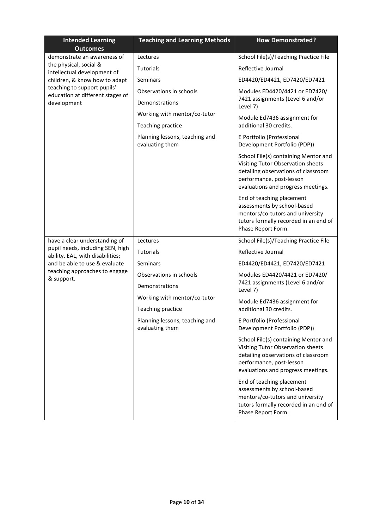| <b>Intended Learning</b><br><b>Outcomes</b>                          | <b>Teaching and Learning Methods</b>              | <b>How Demonstrated?</b>                                                                                                                                                           |
|----------------------------------------------------------------------|---------------------------------------------------|------------------------------------------------------------------------------------------------------------------------------------------------------------------------------------|
| demonstrate an awareness of                                          | Lectures                                          | School File(s)/Teaching Practice File                                                                                                                                              |
| the physical, social &<br>intellectual development of                | <b>Tutorials</b>                                  | Reflective Journal                                                                                                                                                                 |
| children, & know how to adapt                                        | Seminars                                          | ED4420/ED4421, ED7420/ED7421                                                                                                                                                       |
| teaching to support pupils'<br>education at different stages of      | Observations in schools                           | Modules ED4420/4421 or ED7420/                                                                                                                                                     |
| development                                                          | Demonstrations                                    | 7421 assignments (Level 6 and/or<br>Level 7)                                                                                                                                       |
|                                                                      | Working with mentor/co-tutor                      | Module Ed7436 assignment for                                                                                                                                                       |
|                                                                      | Teaching practice                                 | additional 30 credits.                                                                                                                                                             |
|                                                                      | Planning lessons, teaching and<br>evaluating them | E Portfolio (Professional<br>Development Portfolio (PDP))                                                                                                                          |
|                                                                      |                                                   | School File(s) containing Mentor and<br>Visiting Tutor Observation sheets<br>detailing observations of classroom<br>performance, post-lesson<br>evaluations and progress meetings. |
|                                                                      |                                                   | End of teaching placement<br>assessments by school-based<br>mentors/co-tutors and university<br>tutors formally recorded in an end of<br>Phase Report Form.                        |
| have a clear understanding of                                        | Lectures                                          | School File(s)/Teaching Practice File                                                                                                                                              |
| pupil needs, including SEN, high<br>ability, EAL, with disabilities; | <b>Tutorials</b>                                  | Reflective Journal                                                                                                                                                                 |
| and be able to use & evaluate                                        | Seminars                                          | ED4420/ED4421, ED7420/ED7421                                                                                                                                                       |
| teaching approaches to engage<br>& support.                          | Observations in schools                           | Modules ED4420/4421 or ED7420/                                                                                                                                                     |
|                                                                      | Demonstrations                                    | 7421 assignments (Level 6 and/or<br>Level 7)                                                                                                                                       |
|                                                                      | Working with mentor/co-tutor                      | Module Ed7436 assignment for                                                                                                                                                       |
|                                                                      | Teaching practice                                 | additional 30 credits.                                                                                                                                                             |
|                                                                      | Planning lessons, teaching and<br>evaluating them | E Portfolio (Professional<br>Development Portfolio (PDP))                                                                                                                          |
|                                                                      |                                                   | School File(s) containing Mentor and<br>Visiting Tutor Observation sheets<br>detailing observations of classroom<br>performance, post-lesson<br>evaluations and progress meetings. |
|                                                                      |                                                   | End of teaching placement<br>assessments by school-based<br>mentors/co-tutors and university<br>tutors formally recorded in an end of<br>Phase Report Form.                        |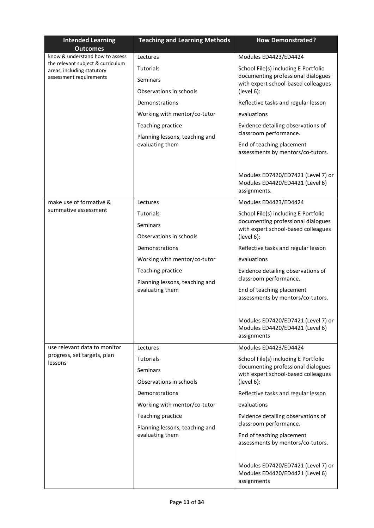| <b>Intended Learning</b><br><b>Outcomes</b>                     | <b>Teaching and Learning Methods</b>                | <b>How Demonstrated?</b>                                                              |
|-----------------------------------------------------------------|-----------------------------------------------------|---------------------------------------------------------------------------------------|
| know & understand how to assess                                 | Lectures                                            | Modules ED4423/ED4424                                                                 |
| the relevant subject & curriculum<br>areas, including statutory | Tutorials                                           | School File(s) including E Portfolio                                                  |
| assessment requirements                                         | Seminars                                            | documenting professional dialogues<br>with expert school-based colleagues             |
|                                                                 | Observations in schools                             | (level 6):                                                                            |
|                                                                 | Demonstrations                                      | Reflective tasks and regular lesson                                                   |
|                                                                 | Working with mentor/co-tutor                        | evaluations                                                                           |
|                                                                 | Teaching practice                                   | Evidence detailing observations of                                                    |
|                                                                 | Planning lessons, teaching and<br>evaluating them   | classroom performance.<br>End of teaching placement                                   |
|                                                                 |                                                     | assessments by mentors/co-tutors.                                                     |
|                                                                 |                                                     | Modules ED7420/ED7421 (Level 7) or<br>Modules ED4420/ED4421 (Level 6)<br>assignments. |
| make use of formative &                                         | Lectures                                            | Modules ED4423/ED4424                                                                 |
| summative assessment                                            | <b>Tutorials</b>                                    | School File(s) including E Portfolio                                                  |
|                                                                 | Seminars                                            | documenting professional dialogues<br>with expert school-based colleagues             |
|                                                                 | Observations in schools                             | (level 6):                                                                            |
|                                                                 | Demonstrations                                      | Reflective tasks and regular lesson                                                   |
|                                                                 | Working with mentor/co-tutor                        | evaluations                                                                           |
|                                                                 | Teaching practice                                   | Evidence detailing observations of<br>classroom performance.                          |
|                                                                 | Planning lessons, teaching and<br>evaluating them   | End of teaching placement                                                             |
|                                                                 |                                                     | assessments by mentors/co-tutors.                                                     |
|                                                                 |                                                     | Modules ED7420/ED7421 (Level 7) or<br>Modules ED4420/ED4421 (Level 6)<br>assignments  |
| use relevant data to monitor                                    | Lectures                                            | Modules ED4423/ED4424                                                                 |
| progress, set targets, plan<br>lessons                          | <b>Tutorials</b>                                    | School File(s) including E Portfolio                                                  |
|                                                                 | Seminars                                            | documenting professional dialogues<br>with expert school-based colleagues             |
|                                                                 | Observations in schools                             | (level 6):                                                                            |
|                                                                 | Demonstrations                                      | Reflective tasks and regular lesson                                                   |
|                                                                 | Working with mentor/co-tutor                        | evaluations                                                                           |
|                                                                 | Teaching practice<br>Planning lessons, teaching and | Evidence detailing observations of<br>classroom performance.                          |
|                                                                 | evaluating them                                     | End of teaching placement<br>assessments by mentors/co-tutors.                        |
|                                                                 |                                                     | Modules ED7420/ED7421 (Level 7) or<br>Modules ED4420/ED4421 (Level 6)<br>assignments  |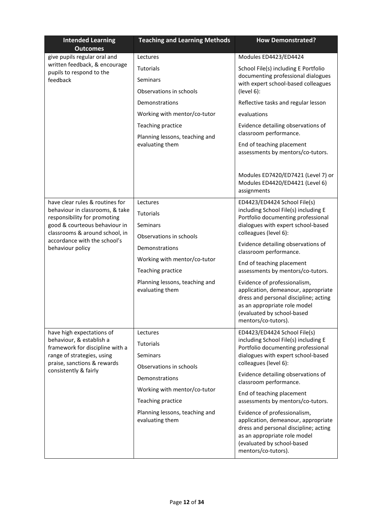| <b>Intended Learning</b><br><b>Outcomes</b>                     | <b>Teaching and Learning Methods</b>              | <b>How Demonstrated?</b>                                                                                                                                                                          |
|-----------------------------------------------------------------|---------------------------------------------------|---------------------------------------------------------------------------------------------------------------------------------------------------------------------------------------------------|
| give pupils regular oral and                                    | Lectures                                          | Modules ED4423/ED4424                                                                                                                                                                             |
| written feedback, & encourage<br>pupils to respond to the       | <b>Tutorials</b>                                  | School File(s) including E Portfolio                                                                                                                                                              |
| feedback                                                        | Seminars                                          | documenting professional dialogues<br>with expert school-based colleagues                                                                                                                         |
|                                                                 | Observations in schools                           | (level 6):                                                                                                                                                                                        |
|                                                                 | Demonstrations                                    | Reflective tasks and regular lesson                                                                                                                                                               |
|                                                                 | Working with mentor/co-tutor                      | evaluations                                                                                                                                                                                       |
|                                                                 | Teaching practice                                 | Evidence detailing observations of                                                                                                                                                                |
|                                                                 | Planning lessons, teaching and                    | classroom performance.                                                                                                                                                                            |
|                                                                 | evaluating them                                   | End of teaching placement<br>assessments by mentors/co-tutors.                                                                                                                                    |
|                                                                 |                                                   | Modules ED7420/ED7421 (Level 7) or<br>Modules ED4420/ED4421 (Level 6)<br>assignments                                                                                                              |
| have clear rules & routines for                                 | Lectures                                          | ED4423/ED4424 School File(s)                                                                                                                                                                      |
| behaviour in classrooms, & take<br>responsibility for promoting | Tutorials                                         | including School File(s) including E<br>Portfolio documenting professional                                                                                                                        |
| good & courteous behaviour in                                   | Seminars                                          | dialogues with expert school-based                                                                                                                                                                |
| classrooms & around school, in<br>accordance with the school's  | Observations in schools                           | colleagues (level 6):                                                                                                                                                                             |
| behaviour policy                                                | Demonstrations                                    | Evidence detailing observations of<br>classroom performance.                                                                                                                                      |
|                                                                 | Working with mentor/co-tutor                      | End of teaching placement                                                                                                                                                                         |
|                                                                 | Teaching practice                                 | assessments by mentors/co-tutors.                                                                                                                                                                 |
|                                                                 | Planning lessons, teaching and<br>evaluating them | Evidence of professionalism,<br>application, demeanour, appropriate<br>dress and personal discipline; acting<br>as an appropriate role model<br>(evaluated by school-based<br>mentors/co-tutors). |
| have high expectations of                                       | Lectures                                          | ED4423/ED4424 School File(s)                                                                                                                                                                      |
| behaviour, & establish a<br>framework for discipline with a     | Tutorials                                         | including School File(s) including E<br>Portfolio documenting professional                                                                                                                        |
| range of strategies, using                                      | Seminars                                          | dialogues with expert school-based                                                                                                                                                                |
| praise, sanctions & rewards<br>consistently & fairly            | Observations in schools                           | colleagues (level 6):                                                                                                                                                                             |
|                                                                 | Demonstrations                                    | Evidence detailing observations of<br>classroom performance.                                                                                                                                      |
|                                                                 | Working with mentor/co-tutor                      | End of teaching placement                                                                                                                                                                         |
|                                                                 | Teaching practice                                 | assessments by mentors/co-tutors.                                                                                                                                                                 |
|                                                                 | Planning lessons, teaching and<br>evaluating them | Evidence of professionalism,<br>application, demeanour, appropriate<br>dress and personal discipline; acting<br>as an appropriate role model<br>(evaluated by school-based<br>mentors/co-tutors). |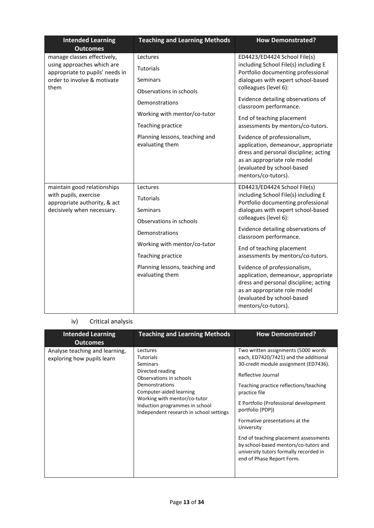| <b>Intended Learning</b><br><b>Outcomes</b>                                                                                         | <b>Teaching and Learning Methods</b>                                                                                                                                                     | <b>How Demonstrated?</b>                                                                                                                                                                                                                                                                                                                                                                                                    |
|-------------------------------------------------------------------------------------------------------------------------------------|------------------------------------------------------------------------------------------------------------------------------------------------------------------------------------------|-----------------------------------------------------------------------------------------------------------------------------------------------------------------------------------------------------------------------------------------------------------------------------------------------------------------------------------------------------------------------------------------------------------------------------|
| manage classes effectively,<br>using approaches which are<br>appropriate to pupils' needs in<br>order to involve & motivate<br>them | Lectures<br>Tutorials<br>Seminars<br>Observations in schools<br>Demonstrations<br>Working with mentor/co-tutor<br>Teaching practice<br>Planning lessons, teaching and<br>evaluating them | ED4423/ED4424 School File(s)<br>including School File(s) including E<br>Portfolio documenting professional<br>dialogues with expert school-based<br>colleagues (level 6):<br>Evidence detailing observations of<br>classroom performance.<br>End of teaching placement<br>assessments by mentors/co-tutors.<br>Evidence of professionalism,<br>application, demeanour, appropriate<br>dress and personal discipline; acting |
|                                                                                                                                     |                                                                                                                                                                                          | as an appropriate role model<br>(evaluated by school-based<br>mentors/co-tutors).                                                                                                                                                                                                                                                                                                                                           |
| maintain good relationships<br>with pupils, exercise<br>appropriate authority, & act<br>decisively when necessary.                  | Lectures<br>Tutorials<br>Seminars<br>Observations in schools                                                                                                                             | ED4423/ED4424 School File(s)<br>including School File(s) including E<br>Portfolio documenting professional<br>dialogues with expert school-based<br>colleagues (level 6):                                                                                                                                                                                                                                                   |
|                                                                                                                                     | Demonstrations                                                                                                                                                                           | Evidence detailing observations of<br>classroom performance.                                                                                                                                                                                                                                                                                                                                                                |
|                                                                                                                                     | Working with mentor/co-tutor<br>Teaching practice                                                                                                                                        | End of teaching placement<br>assessments by mentors/co-tutors.                                                                                                                                                                                                                                                                                                                                                              |
|                                                                                                                                     | Planning lessons, teaching and<br>evaluating them                                                                                                                                        | Evidence of professionalism,<br>application, demeanour, appropriate<br>dress and personal discipline; acting<br>as an appropriate role model<br>(evaluated by school-based<br>mentors/co-tutors).                                                                                                                                                                                                                           |

# iv) Critical analysis

| <b>Intended Learning</b><br><b>Outcomes</b>                  | <b>Teaching and Learning Methods</b>                                                                                                                                                                                                                     | <b>How Demonstrated?</b>                                                                                                                                                                                                                                                                                                                                                                                                                                                      |
|--------------------------------------------------------------|----------------------------------------------------------------------------------------------------------------------------------------------------------------------------------------------------------------------------------------------------------|-------------------------------------------------------------------------------------------------------------------------------------------------------------------------------------------------------------------------------------------------------------------------------------------------------------------------------------------------------------------------------------------------------------------------------------------------------------------------------|
| Analyse teaching and learning,<br>exploring how pupils learn | Lectures<br><b>Tutorials</b><br><b>Seminars</b><br>Directed reading<br>Observations in schools<br>Demonstrations<br>Computer-aided learning<br>Working with mentor/co-tutor<br>Induction programmes in school<br>Independent research in school settings | Two written assignments (5000 words)<br>each, ED7420/7421) and the additional<br>30-credit module assignment (ED7436).<br>Reflective Journal<br>Teaching practice reflections/teaching<br>practice file<br>E Portfolio (Professional development<br>portfolio (PDP))<br>Formative presentations at the<br>University<br>End of teaching placement assessments<br>by school-based mentors/co-tutors and<br>university tutors formally recorded in<br>end of Phase Report Form. |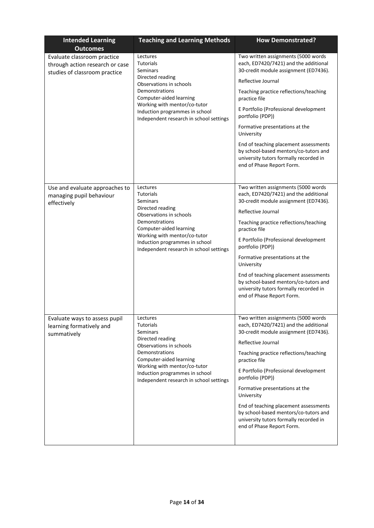| <b>Intended Learning</b><br><b>Outcomes</b>                                                     | <b>Teaching and Learning Methods</b>                                                                                                                                                                                                              | <b>How Demonstrated?</b>                                                                                                                                                                                                                                                                                                                                                                                                                                                     |
|-------------------------------------------------------------------------------------------------|---------------------------------------------------------------------------------------------------------------------------------------------------------------------------------------------------------------------------------------------------|------------------------------------------------------------------------------------------------------------------------------------------------------------------------------------------------------------------------------------------------------------------------------------------------------------------------------------------------------------------------------------------------------------------------------------------------------------------------------|
| Evaluate classroom practice<br>through action research or case<br>studies of classroom practice | Lectures<br><b>Tutorials</b><br>Seminars<br>Directed reading<br>Observations in schools<br>Demonstrations<br>Computer-aided learning<br>Working with mentor/co-tutor<br>Induction programmes in school<br>Independent research in school settings | Two written assignments (5000 words<br>each, ED7420/7421) and the additional<br>30-credit module assignment (ED7436).<br>Reflective Journal<br>Teaching practice reflections/teaching<br>practice file<br>E Portfolio (Professional development<br>portfolio (PDP))<br>Formative presentations at the<br>University<br>End of teaching placement assessments<br>by school-based mentors/co-tutors and<br>university tutors formally recorded in<br>end of Phase Report Form. |
| Use and evaluate approaches to<br>managing pupil behaviour<br>effectively                       | Lectures<br><b>Tutorials</b><br>Seminars<br>Directed reading<br>Observations in schools<br>Demonstrations<br>Computer-aided learning<br>Working with mentor/co-tutor<br>Induction programmes in school<br>Independent research in school settings | Two written assignments (5000 words<br>each, ED7420/7421) and the additional<br>30-credit module assignment (ED7436).<br>Reflective Journal<br>Teaching practice reflections/teaching<br>practice file<br>E Portfolio (Professional development<br>portfolio (PDP))<br>Formative presentations at the<br>University<br>End of teaching placement assessments<br>by school-based mentors/co-tutors and<br>university tutors formally recorded in<br>end of Phase Report Form. |
| Evaluate ways to assess pupil<br>learning formatively and<br>summatively                        | Lectures<br><b>Tutorials</b><br>Seminars<br>Directed reading<br>Observations in schools<br>Demonstrations<br>Computer-aided learning<br>Working with mentor/co-tutor<br>Induction programmes in school<br>Independent research in school settings | Two written assignments (5000 words<br>each, ED7420/7421) and the additional<br>30-credit module assignment (ED7436).<br>Reflective Journal<br>Teaching practice reflections/teaching<br>practice file<br>E Portfolio (Professional development<br>portfolio (PDP))<br>Formative presentations at the<br>University<br>End of teaching placement assessments<br>by school-based mentors/co-tutors and<br>university tutors formally recorded in<br>end of Phase Report Form. |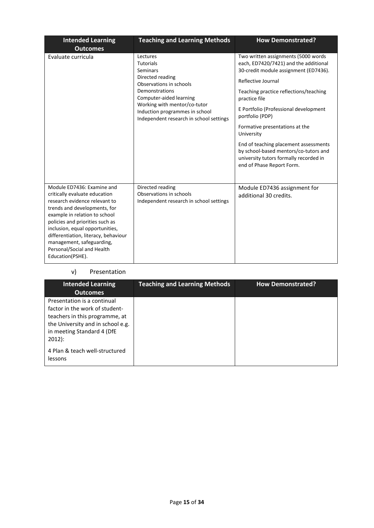| <b>Intended Learning</b><br><b>Outcomes</b>                                                                                                                                                                                                                                                                                                                | <b>Teaching and Learning Methods</b>                                                                                                                                                                                                              | <b>How Demonstrated?</b>                                                                                                                                                                                                                                                                                                                                                                                                                                                    |
|------------------------------------------------------------------------------------------------------------------------------------------------------------------------------------------------------------------------------------------------------------------------------------------------------------------------------------------------------------|---------------------------------------------------------------------------------------------------------------------------------------------------------------------------------------------------------------------------------------------------|-----------------------------------------------------------------------------------------------------------------------------------------------------------------------------------------------------------------------------------------------------------------------------------------------------------------------------------------------------------------------------------------------------------------------------------------------------------------------------|
| Evaluate curricula                                                                                                                                                                                                                                                                                                                                         | Lectures<br><b>Tutorials</b><br>Seminars<br>Directed reading<br>Observations in schools<br>Demonstrations<br>Computer-aided learning<br>Working with mentor/co-tutor<br>Induction programmes in school<br>Independent research in school settings | Two written assignments (5000 words<br>each, ED7420/7421) and the additional<br>30-credit module assignment (ED7436).<br>Reflective Journal<br>Teaching practice reflections/teaching<br>practice file<br>E Portfolio (Professional development<br>portfolio (PDP)<br>Formative presentations at the<br>University<br>End of teaching placement assessments<br>by school-based mentors/co-tutors and<br>university tutors formally recorded in<br>end of Phase Report Form. |
| Module ED7436: Examine and<br>critically evaluate education<br>research evidence relevant to<br>trends and developments, for<br>example in relation to school<br>policies and priorities such as<br>inclusion, equal opportunities,<br>differentiation, literacy, behaviour<br>management, safeguarding,<br>Personal/Social and Health<br>Education(PSHE). | Directed reading<br>Observations in schools<br>Independent research in school settings                                                                                                                                                            | Module ED7436 assignment for<br>additional 30 credits.                                                                                                                                                                                                                                                                                                                                                                                                                      |

### v) Presentation

| <b>Intended Learning</b><br><b>Outcomes</b>                                                                                                                                                                                 | <b>Teaching and Learning Methods</b> | <b>How Demonstrated?</b> |
|-----------------------------------------------------------------------------------------------------------------------------------------------------------------------------------------------------------------------------|--------------------------------------|--------------------------|
| Presentation is a continual<br>factor in the work of student-<br>teachers in this programme, at<br>the University and in school e.g.<br>in meeting Standard 4 (DfE<br>$2012$ :<br>4 Plan & teach well-structured<br>lessons |                                      |                          |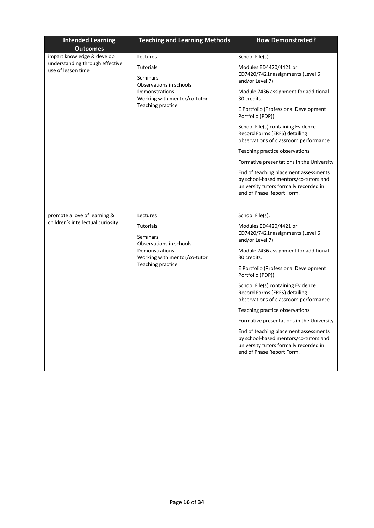| <b>Intended Learning</b><br><b>Outcomes</b>           | <b>Teaching and Learning Methods</b>                                                                                                  | <b>How Demonstrated?</b>                                                                                                                              |
|-------------------------------------------------------|---------------------------------------------------------------------------------------------------------------------------------------|-------------------------------------------------------------------------------------------------------------------------------------------------------|
| impart knowledge & develop                            | Lectures                                                                                                                              | School File(s).                                                                                                                                       |
| understanding through effective<br>use of lesson time | <b>Tutorials</b><br><b>Seminars</b><br>Observations in schools<br>Demonstrations<br>Working with mentor/co-tutor<br>Teaching practice | Modules ED4420/4421 or<br>ED7420/7421nassignments (Level 6<br>and/or Level 7)                                                                         |
|                                                       |                                                                                                                                       | Module 7436 assignment for additional<br>30 credits.                                                                                                  |
|                                                       |                                                                                                                                       | E Portfolio (Professional Development<br>Portfolio (PDP))                                                                                             |
|                                                       |                                                                                                                                       | School File(s) containing Evidence<br>Record Forms (ERFS) detailing<br>observations of classroom performance                                          |
|                                                       |                                                                                                                                       | Teaching practice observations                                                                                                                        |
|                                                       |                                                                                                                                       | Formative presentations in the University                                                                                                             |
|                                                       |                                                                                                                                       | End of teaching placement assessments<br>by school-based mentors/co-tutors and<br>university tutors formally recorded in<br>end of Phase Report Form. |
|                                                       |                                                                                                                                       |                                                                                                                                                       |
| promote a love of learning &                          | Lectures                                                                                                                              | School File(s).                                                                                                                                       |
| children's intellectual curiosity                     | <b>Tutorials</b><br>Seminars<br>Observations in schools<br>Demonstrations<br>Working with mentor/co-tutor<br>Teaching practice        | Modules ED4420/4421 or<br>ED7420/7421nassignments (Level 6<br>and/or Level 7)                                                                         |
|                                                       |                                                                                                                                       | Module 7436 assignment for additional<br>30 credits.                                                                                                  |
|                                                       |                                                                                                                                       | E Portfolio (Professional Development<br>Portfolio (PDP))                                                                                             |
|                                                       |                                                                                                                                       | School File(s) containing Evidence<br>Record Forms (ERFS) detailing<br>observations of classroom performance                                          |
|                                                       |                                                                                                                                       | Teaching practice observations                                                                                                                        |
|                                                       |                                                                                                                                       | Formative presentations in the University                                                                                                             |
|                                                       |                                                                                                                                       | End of teaching placement assessments<br>by school-based mentors/co-tutors and<br>university tutors formally recorded in<br>end of Phase Report Form. |
|                                                       |                                                                                                                                       |                                                                                                                                                       |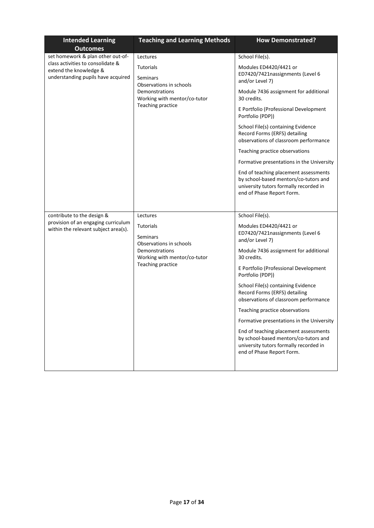| <b>Intended Learning</b><br><b>Outcomes</b>                                                                                            | <b>Teaching and Learning Methods</b>                                                                                                       | <b>How Demonstrated?</b>                                                                                                                                                                                                                                                                                                                                                                                                                                                                                                                                                      |
|----------------------------------------------------------------------------------------------------------------------------------------|--------------------------------------------------------------------------------------------------------------------------------------------|-------------------------------------------------------------------------------------------------------------------------------------------------------------------------------------------------------------------------------------------------------------------------------------------------------------------------------------------------------------------------------------------------------------------------------------------------------------------------------------------------------------------------------------------------------------------------------|
| set homework & plan other out-of-<br>class activities to consolidate &<br>extend the knowledge &<br>understanding pupils have acquired | Lectures<br><b>Tutorials</b><br>Seminars<br>Observations in schools<br>Demonstrations<br>Working with mentor/co-tutor<br>Teaching practice | School File(s).<br>Modules ED4420/4421 or<br>ED7420/7421nassignments (Level 6<br>and/or Level 7)<br>Module 7436 assignment for additional<br>30 credits.<br>E Portfolio (Professional Development<br>Portfolio (PDP))<br>School File(s) containing Evidence<br>Record Forms (ERFS) detailing<br>observations of classroom performance<br>Teaching practice observations<br>Formative presentations in the University<br>End of teaching placement assessments<br>by school-based mentors/co-tutors and<br>university tutors formally recorded in<br>end of Phase Report Form. |
| contribute to the design &<br>provision of an engaging curriculum<br>within the relevant subject area(s).                              | Lectures<br><b>Tutorials</b><br>Seminars<br>Observations in schools<br>Demonstrations<br>Working with mentor/co-tutor<br>Teaching practice | School File(s).<br>Modules ED4420/4421 or<br>ED7420/7421nassignments (Level 6<br>and/or Level 7)<br>Module 7436 assignment for additional<br>30 credits.<br>E Portfolio (Professional Development<br>Portfolio (PDP))<br>School File(s) containing Evidence<br>Record Forms (ERFS) detailing<br>observations of classroom performance<br>Teaching practice observations<br>Formative presentations in the University<br>End of teaching placement assessments<br>by school-based mentors/co-tutors and<br>university tutors formally recorded in<br>end of Phase Report Form. |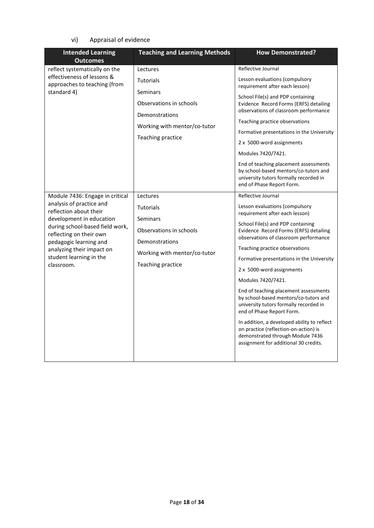vi) Appraisal of evidence

| <b>Intended Learning</b><br><b>Outcomes</b>                                                                                                                                                                                                                                     | <b>Teaching and Learning Methods</b>                                                                                                       | <b>How Demonstrated?</b>                                                                                                                                                                                                                                                                                                                                                                                                                                                                                                                                                                                                                                                       |
|---------------------------------------------------------------------------------------------------------------------------------------------------------------------------------------------------------------------------------------------------------------------------------|--------------------------------------------------------------------------------------------------------------------------------------------|--------------------------------------------------------------------------------------------------------------------------------------------------------------------------------------------------------------------------------------------------------------------------------------------------------------------------------------------------------------------------------------------------------------------------------------------------------------------------------------------------------------------------------------------------------------------------------------------------------------------------------------------------------------------------------|
| reflect systematically on the<br>effectiveness of lessons &<br>approaches to teaching (from<br>standard 4)                                                                                                                                                                      | Lectures<br><b>Tutorials</b><br>Seminars<br>Observations in schools<br>Demonstrations<br>Working with mentor/co-tutor<br>Teaching practice | Reflective Journal<br>Lesson evaluations (compulsory<br>requirement after each lesson)<br>School File(s) and PDP containing<br>Evidence Record Forms (ERFS) detailing<br>observations of classroom performance<br>Teaching practice observations<br>Formative presentations in the University<br>2 x 5000-word assignments<br>Modules 7420/7421.<br>End of teaching placement assessments<br>by school-based mentors/co-tutors and<br>university tutors formally recorded in<br>end of Phase Report Form.                                                                                                                                                                      |
| Module 7436: Engage in critical<br>analysis of practice and<br>reflection about their<br>development in education<br>during school-based field work,<br>reflecting on their own<br>pedagogic learning and<br>analyzing their impact on<br>student learning in the<br>classroom. | Lectures<br><b>Tutorials</b><br>Seminars<br>Observations in schools<br>Demonstrations<br>Working with mentor/co-tutor<br>Teaching practice | Reflective Journal<br>Lesson evaluations (compulsory<br>requirement after each lesson)<br>School File(s) and PDP containing<br>Evidence Record Forms (ERFS) detailing<br>observations of classroom performance<br>Teaching practice observations<br>Formative presentations in the University<br>2 x 5000-word assignments<br>Modules 7420/7421.<br>End of teaching placement assessments<br>by school-based mentors/co-tutors and<br>university tutors formally recorded in<br>end of Phase Report Form.<br>In addition, a developed ability to reflect<br>on practice (reflection-on-action) is<br>demonstrated through Module 7436<br>assignment for additional 30 credits. |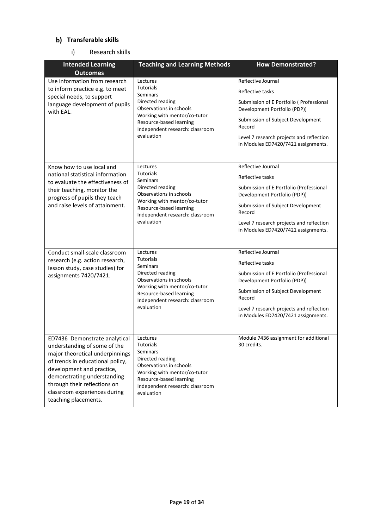### **Transferable skills**

### i) Research skills

| <b>Intended Learning</b>                                                                                                                                                                                                                                                                        | <b>Teaching and Learning Methods</b>                                                                                                                                                                       | <b>How Demonstrated?</b>                                                                                                                                                                                                                             |
|-------------------------------------------------------------------------------------------------------------------------------------------------------------------------------------------------------------------------------------------------------------------------------------------------|------------------------------------------------------------------------------------------------------------------------------------------------------------------------------------------------------------|------------------------------------------------------------------------------------------------------------------------------------------------------------------------------------------------------------------------------------------------------|
| <b>Outcomes</b><br>Use information from research<br>to inform practice e.g. to meet<br>special needs, to support<br>language development of pupils<br>with EAL.                                                                                                                                 | Lectures<br><b>Tutorials</b><br>Seminars<br>Directed reading<br>Observations in schools<br>Working with mentor/co-tutor<br>Resource-based learning<br>Independent research: classroom<br>evaluation        | Reflective Journal<br>Reflective tasks<br>Submission of E Portfolio ( Professional<br>Development Portfolio (PDP))<br>Submission of Subject Development<br>Record<br>Level 7 research projects and reflection<br>in Modules ED7420/7421 assignments. |
| Know how to use local and<br>national statistical information<br>to evaluate the effectiveness of<br>their teaching, monitor the<br>progress of pupils they teach<br>and raise levels of attainment.                                                                                            | Lectures<br><b>Tutorials</b><br><b>Seminars</b><br>Directed reading<br>Observations in schools<br>Working with mentor/co-tutor<br>Resource-based learning<br>Independent research: classroom<br>evaluation | Reflective Journal<br>Reflective tasks<br>Submission of E Portfolio (Professional<br>Development Portfolio (PDP))<br>Submission of Subject Development<br>Record<br>Level 7 research projects and reflection<br>in Modules ED7420/7421 assignments.  |
| Conduct small-scale classroom<br>research (e.g. action research,<br>lesson study, case studies) for<br>assignments 7420/7421.                                                                                                                                                                   | Lectures<br><b>Tutorials</b><br>Seminars<br>Directed reading<br>Observations in schools<br>Working with mentor/co-tutor<br>Resource-based learning<br>Independent research: classroom<br>evaluation        | Reflective Journal<br>Reflective tasks<br>Submission of E Portfolio (Professional<br>Development Portfolio (PDP))<br>Submission of Subject Development<br>Record<br>Level 7 research projects and reflection<br>in Modules ED7420/7421 assignments.  |
| <b>FD7436</b> Demonstrate analytical<br>understanding of some of the<br>major theoretical underpinnings<br>of trends in educational policy,<br>development and practice,<br>demonstrating understanding<br>through their reflections on<br>classroom experiences during<br>teaching placements. | Lectures<br><b>Tutorials</b><br>Seminars<br>Directed reading<br>Observations in schools<br>Working with mentor/co-tutor<br>Resource-based learning<br>Independent research: classroom<br>evaluation        | Module 7436 assignment for additional<br>30 credits.                                                                                                                                                                                                 |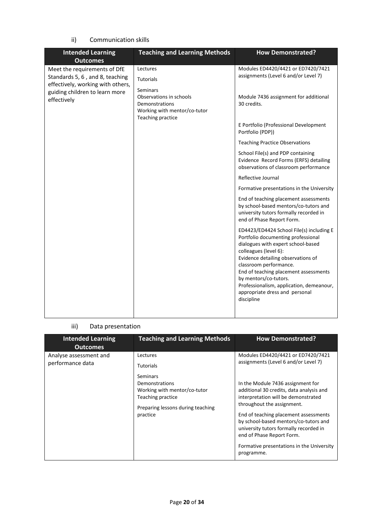ii) Communication skills

| <b>Intended Learning</b><br><b>Outcomes</b>                                                                                                           | <b>Teaching and Learning Methods</b>                                                                                                       | <b>How Demonstrated?</b>                                                                                                                                                                                                                                                                                                                                                    |
|-------------------------------------------------------------------------------------------------------------------------------------------------------|--------------------------------------------------------------------------------------------------------------------------------------------|-----------------------------------------------------------------------------------------------------------------------------------------------------------------------------------------------------------------------------------------------------------------------------------------------------------------------------------------------------------------------------|
| Meet the requirements of DfE<br>Standards 5, 6, and 8, teaching<br>effectively, working with others,<br>guiding children to learn more<br>effectively | Lectures<br><b>Tutorials</b><br>Seminars<br>Observations in schools<br>Demonstrations<br>Working with mentor/co-tutor<br>Teaching practice | Modules ED4420/4421 or ED7420/7421<br>assignments (Level 6 and/or Level 7)<br>Module 7436 assignment for additional<br>30 credits.                                                                                                                                                                                                                                          |
|                                                                                                                                                       |                                                                                                                                            | E Portfolio (Professional Development<br>Portfolio (PDP))                                                                                                                                                                                                                                                                                                                   |
|                                                                                                                                                       |                                                                                                                                            | <b>Teaching Practice Observations</b>                                                                                                                                                                                                                                                                                                                                       |
|                                                                                                                                                       |                                                                                                                                            | School File(s) and PDP containing<br>Evidence Record Forms (ERFS) detailing<br>observations of classroom performance                                                                                                                                                                                                                                                        |
|                                                                                                                                                       |                                                                                                                                            | Reflective Journal                                                                                                                                                                                                                                                                                                                                                          |
|                                                                                                                                                       |                                                                                                                                            | Formative presentations in the University                                                                                                                                                                                                                                                                                                                                   |
|                                                                                                                                                       |                                                                                                                                            | End of teaching placement assessments<br>by school-based mentors/co-tutors and<br>university tutors formally recorded in<br>end of Phase Report Form.                                                                                                                                                                                                                       |
|                                                                                                                                                       |                                                                                                                                            | ED4423/ED4424 School File(s) including E<br>Portfolio documenting professional<br>dialogues with expert school-based<br>colleagues (level 6):<br>Evidence detailing observations of<br>classroom performance.<br>End of teaching placement assessments<br>by mentors/co-tutors.<br>Professionalism, application, demeanour,<br>appropriate dress and personal<br>discipline |

### iii) Data presentation

| <b>Intended Learning</b><br><b>Outcomes</b> | <b>Teaching and Learning Methods</b>                                                                                                                             | <b>How Demonstrated?</b>                                                                                                                                                                                                                                                                                                                                                                                                                             |
|---------------------------------------------|------------------------------------------------------------------------------------------------------------------------------------------------------------------|------------------------------------------------------------------------------------------------------------------------------------------------------------------------------------------------------------------------------------------------------------------------------------------------------------------------------------------------------------------------------------------------------------------------------------------------------|
| Analyse assessment and<br>performance data  | Lectures<br><b>Tutorials</b><br>Seminars<br>Demonstrations<br>Working with mentor/co-tutor<br>Teaching practice<br>Preparing lessons during teaching<br>practice | Modules ED4420/4421 or ED7420/7421<br>assignments (Level 6 and/or Level 7)<br>In the Module 7436 assignment for<br>additional 30 credits, data analysis and<br>interpretation will be demonstrated<br>throughout the assignment.<br>End of teaching placement assessments<br>by school-based mentors/co-tutors and<br>university tutors formally recorded in<br>end of Phase Report Form.<br>Formative presentations in the University<br>programme. |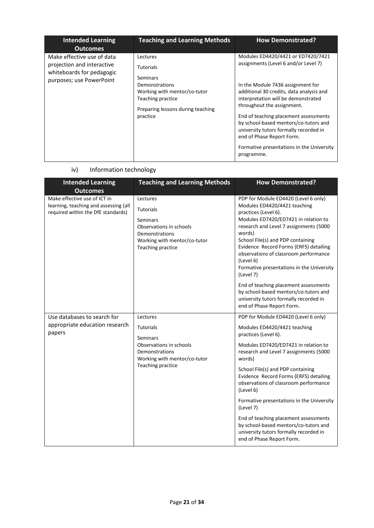| <b>Teaching and Learning Methods</b>                                                                                                                                    | <b>How Demonstrated?</b>                                                                                                                                                                                                                                                                                                                                                                                                                             |
|-------------------------------------------------------------------------------------------------------------------------------------------------------------------------|------------------------------------------------------------------------------------------------------------------------------------------------------------------------------------------------------------------------------------------------------------------------------------------------------------------------------------------------------------------------------------------------------------------------------------------------------|
| Lectures<br><b>Tutorials</b><br><b>Seminars</b><br>Demonstrations<br>Working with mentor/co-tutor<br>Teaching practice<br>Preparing lessons during teaching<br>practice | Modules ED4420/4421 or ED7420/7421<br>assignments (Level 6 and/or Level 7)<br>In the Module 7436 assignment for<br>additional 30 credits, data analysis and<br>interpretation will be demonstrated<br>throughout the assignment.<br>End of teaching placement assessments<br>by school-based mentors/co-tutors and<br>university tutors formally recorded in<br>end of Phase Report Form.<br>Formative presentations in the University<br>programme. |
|                                                                                                                                                                         |                                                                                                                                                                                                                                                                                                                                                                                                                                                      |

### iv) Information technology

| <b>Intended Learning</b><br><b>Outcomes</b>                                                                 | <b>Teaching and Learning Methods</b>                                                                                                       | <b>How Demonstrated?</b>                                                                                                                                                                                                                                                                                                                                                                |
|-------------------------------------------------------------------------------------------------------------|--------------------------------------------------------------------------------------------------------------------------------------------|-----------------------------------------------------------------------------------------------------------------------------------------------------------------------------------------------------------------------------------------------------------------------------------------------------------------------------------------------------------------------------------------|
| Make effective use of ICT in<br>learning, teaching and assessing (all<br>required within the DfE standards) | Lectures<br><b>Tutorials</b><br>Seminars<br>Observations in schools<br>Demonstrations<br>Working with mentor/co-tutor<br>Teaching practice | PDP for Module ED4420 (Level 6 only)<br>Modules ED4420/4421 teaching<br>practices (Level 6).<br>Modules ED7420/ED7421 in relation to<br>research and Level 7 assignments (5000<br>words)<br>School File(s) and PDP containing<br>Evidence Record Forms (ERFS) detailing<br>observations of classroom performance<br>(Level 6)<br>Formative presentations in the University<br>(Level 7) |
|                                                                                                             |                                                                                                                                            | End of teaching placement assessments<br>by school-based mentors/co-tutors and<br>university tutors formally recorded in<br>end of Phase Report Form.                                                                                                                                                                                                                                   |
| Use databases to search for                                                                                 | Lectures                                                                                                                                   | PDP for Module ED4420 (Level 6 only)                                                                                                                                                                                                                                                                                                                                                    |
| appropriate education research<br>papers                                                                    | <b>Tutorials</b>                                                                                                                           | Modules ED4420/4421 teaching<br>practices (Level 6).                                                                                                                                                                                                                                                                                                                                    |
|                                                                                                             | <b>Seminars</b><br>Observations in schools<br>Demonstrations<br>Working with mentor/co-tutor                                               | Modules ED7420/ED7421 in relation to<br>research and Level 7 assignments (5000<br>words)                                                                                                                                                                                                                                                                                                |
|                                                                                                             | Teaching practice                                                                                                                          | School File(s) and PDP containing<br>Evidence Record Forms (ERFS) detailing<br>observations of classroom performance<br>(Level 6)                                                                                                                                                                                                                                                       |
|                                                                                                             |                                                                                                                                            | Formative presentations in the University<br>(Level 7)                                                                                                                                                                                                                                                                                                                                  |
|                                                                                                             |                                                                                                                                            | End of teaching placement assessments<br>by school-based mentors/co-tutors and<br>university tutors formally recorded in<br>end of Phase Report Form.                                                                                                                                                                                                                                   |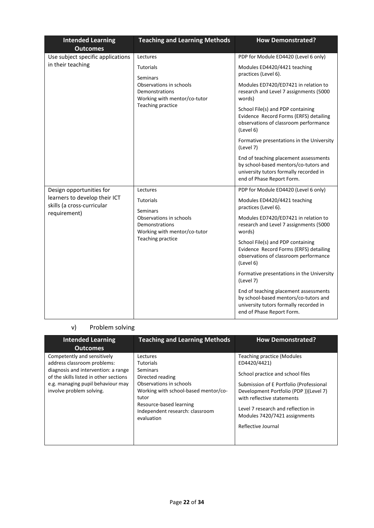| <b>Intended Learning</b><br><b>Outcomes</b>                 | <b>Teaching and Learning Methods</b>                                                                                                  | <b>How Demonstrated?</b>                                                                                                                              |
|-------------------------------------------------------------|---------------------------------------------------------------------------------------------------------------------------------------|-------------------------------------------------------------------------------------------------------------------------------------------------------|
| Use subject specific applications                           | Lectures                                                                                                                              | PDP for Module ED4420 (Level 6 only)                                                                                                                  |
| in their teaching                                           | <b>Tutorials</b><br>Seminars<br>Observations in schools<br><b>Demonstrations</b><br>Working with mentor/co-tutor<br>Teaching practice | Modules ED4420/4421 teaching<br>practices (Level 6).                                                                                                  |
|                                                             |                                                                                                                                       | Modules ED7420/ED7421 in relation to<br>research and Level 7 assignments (5000<br>words)                                                              |
|                                                             |                                                                                                                                       | School File(s) and PDP containing<br>Evidence Record Forms (ERFS) detailing<br>observations of classroom performance<br>(Level 6)                     |
|                                                             |                                                                                                                                       | Formative presentations in the University<br>(Level 7)                                                                                                |
|                                                             |                                                                                                                                       | End of teaching placement assessments<br>by school-based mentors/co-tutors and<br>university tutors formally recorded in<br>end of Phase Report Form. |
| Design opportunities for                                    | Lectures                                                                                                                              | PDP for Module ED4420 (Level 6 only)                                                                                                                  |
| learners to develop their ICT<br>skills (a cross-curricular | <b>Tutorials</b><br>Seminars                                                                                                          | Modules ED4420/4421 teaching<br>practices (Level 6).                                                                                                  |
| requirement)                                                | Observations in schools<br><b>Demonstrations</b><br>Working with mentor/co-tutor<br>Teaching practice                                 | Modules ED7420/ED7421 in relation to<br>research and Level 7 assignments (5000<br>words)                                                              |
|                                                             |                                                                                                                                       | School File(s) and PDP containing<br>Evidence Record Forms (ERFS) detailing<br>observations of classroom performance<br>(Level 6)                     |
|                                                             |                                                                                                                                       | Formative presentations in the University<br>(Level 7)                                                                                                |
|                                                             |                                                                                                                                       | End of teaching placement assessments<br>by school-based mentors/co-tutors and<br>university tutors formally recorded in<br>end of Phase Report Form. |

# v) Problem solving

| <b>Intended Learning</b><br><b>Outcomes</b>                                                                                                                                                                  | <b>Teaching and Learning Methods</b>                                                                                                                                                                                 | <b>How Demonstrated?</b>                                                                                                                                                                                                                                                                             |
|--------------------------------------------------------------------------------------------------------------------------------------------------------------------------------------------------------------|----------------------------------------------------------------------------------------------------------------------------------------------------------------------------------------------------------------------|------------------------------------------------------------------------------------------------------------------------------------------------------------------------------------------------------------------------------------------------------------------------------------------------------|
| Competently and sensitively<br>address classroom problems:<br>diagnosis and intervention: a range<br>of the skills listed in other sections<br>e.g. managing pupil behaviour may<br>involve problem solving. | Lectures<br><b>Tutorials</b><br>Seminars<br>Directed reading<br>Observations in schools<br>Working with school-based mentor/co-<br>tutor<br>Resource-based learning<br>Independent research: classroom<br>evaluation | <b>Teaching practice (Modules</b><br>ED4420/4421)<br>School practice and school files<br>Submission of E Portfolio (Professional<br>Development Portfolio (PDP))(Level 7)<br>with reflective statements<br>Level 7 research and reflection in<br>Modules 7420/7421 assignments<br>Reflective Journal |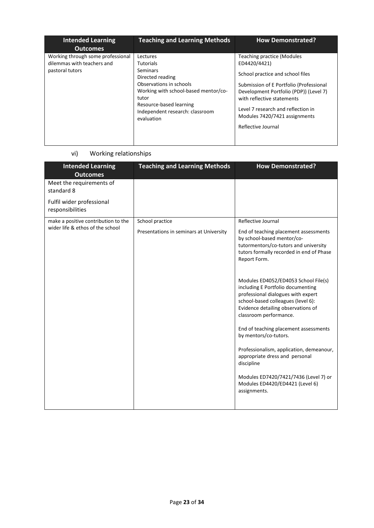| <b>Intended Learning</b><br><b>Outcomes</b>                                        | <b>Teaching and Learning Methods</b>                                                                                                                                                                                 | <b>How Demonstrated?</b>                                                                                                                                                                                                                                                                       |
|------------------------------------------------------------------------------------|----------------------------------------------------------------------------------------------------------------------------------------------------------------------------------------------------------------------|------------------------------------------------------------------------------------------------------------------------------------------------------------------------------------------------------------------------------------------------------------------------------------------------|
| Working through some professional<br>dilemmas with teachers and<br>pastoral tutors | Lectures<br><b>Tutorials</b><br>Seminars<br>Directed reading<br>Observations in schools<br>Working with school-based mentor/co-<br>tutor<br>Resource-based learning<br>Independent research: classroom<br>evaluation | Teaching practice (Modules<br>ED4420/4421)<br>School practice and school files<br>Submission of E Portfolio (Professional<br>Development Portfolio (PDP)) (Level 7)<br>with reflective statements<br>Level 7 research and reflection in<br>Modules 7420/7421 assignments<br>Reflective Journal |

### vi) Working relationships

| <b>Intended Learning</b><br><b>Outcomes</b>   | <b>Teaching and Learning Methods</b>    | <b>How Demonstrated?</b>                                                                                                                                                                                              |
|-----------------------------------------------|-----------------------------------------|-----------------------------------------------------------------------------------------------------------------------------------------------------------------------------------------------------------------------|
| Meet the requirements of<br>standard 8        |                                         |                                                                                                                                                                                                                       |
| Fulfil wider professional<br>responsibilities |                                         |                                                                                                                                                                                                                       |
| make a positive contribution to the           | School practice                         | Reflective Journal                                                                                                                                                                                                    |
| wider life & ethos of the school              | Presentations in seminars at University | End of teaching placement assessments<br>by school-based mentor/co-<br>tutormentors/co-tutors and university<br>tutors formally recorded in end of Phase<br>Report Form.                                              |
|                                               |                                         | Modules ED4052/ED4053 School File(s)<br>including E Portfolio documenting<br>professional dialogues with expert<br>school-based colleagues (level 6):<br>Evidence detailing observations of<br>classroom performance. |
|                                               |                                         | End of teaching placement assessments<br>by mentors/co-tutors.                                                                                                                                                        |
|                                               |                                         | Professionalism, application, demeanour,<br>appropriate dress and personal<br>discipline                                                                                                                              |
|                                               |                                         | Modules ED7420/7421/7436 (Level 7) or<br>Modules ED4420/ED4421 (Level 6)<br>assignments.                                                                                                                              |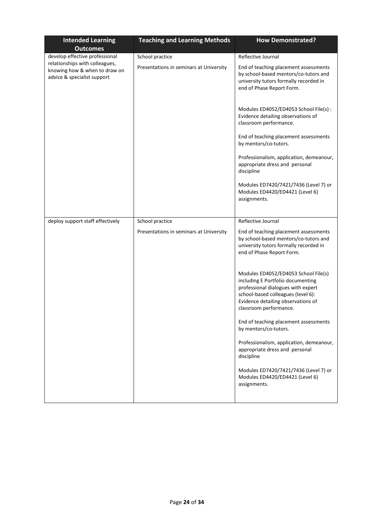| <b>Intended Learning</b><br><b>Outcomes</b>                                                    | <b>Teaching and Learning Methods</b>                       | <b>How Demonstrated?</b>                                                                                                                                                                                              |
|------------------------------------------------------------------------------------------------|------------------------------------------------------------|-----------------------------------------------------------------------------------------------------------------------------------------------------------------------------------------------------------------------|
| develop effective professional                                                                 | School practice                                            | Reflective Journal                                                                                                                                                                                                    |
| relationships with colleagues,<br>knowing how & when to draw on<br>advice & specialist support | Presentations in seminars at University                    | End of teaching placement assessments<br>by school-based mentors/co-tutors and<br>university tutors formally recorded in<br>end of Phase Report Form.                                                                 |
|                                                                                                |                                                            | Modules ED4052/ED4053 School File(s) :<br>Evidence detailing observations of<br>classroom performance.                                                                                                                |
|                                                                                                |                                                            | End of teaching placement assessments<br>by mentors/co-tutors.                                                                                                                                                        |
|                                                                                                |                                                            | Professionalism, application, demeanour,<br>appropriate dress and personal<br>discipline                                                                                                                              |
|                                                                                                |                                                            | Modules ED7420/7421/7436 (Level 7) or<br>Modules ED4420/ED4421 (Level 6)<br>assignments.                                                                                                                              |
|                                                                                                |                                                            |                                                                                                                                                                                                                       |
| deploy support staff effectively                                                               | School practice<br>Presentations in seminars at University | Reflective Journal<br>End of teaching placement assessments<br>by school-based mentors/co-tutors and<br>university tutors formally recorded in<br>end of Phase Report Form.                                           |
|                                                                                                |                                                            | Modules ED4052/ED4053 School File(s)<br>including E Portfolio documenting<br>professional dialogues with expert<br>school-based colleagues (level 6):<br>Evidence detailing observations of<br>classroom performance. |
|                                                                                                |                                                            | End of teaching placement assessments<br>by mentors/co-tutors.                                                                                                                                                        |
|                                                                                                |                                                            | Professionalism, application, demeanour,<br>appropriate dress and personal<br>discipline                                                                                                                              |
|                                                                                                |                                                            | Modules ED7420/7421/7436 (Level 7) or<br>Modules ED4420/ED4421 (Level 6)<br>assignments.                                                                                                                              |
|                                                                                                |                                                            |                                                                                                                                                                                                                       |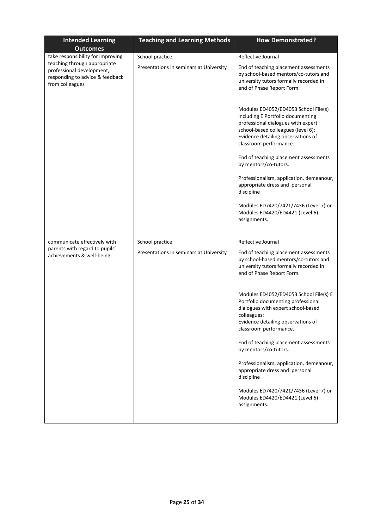| <b>Intended Learning</b><br><b>Outcomes</b>                                                                     | <b>Teaching and Learning Methods</b>                       | <b>How Demonstrated?</b>                                                                                                                                                                                              |
|-----------------------------------------------------------------------------------------------------------------|------------------------------------------------------------|-----------------------------------------------------------------------------------------------------------------------------------------------------------------------------------------------------------------------|
| take responsibility for improving                                                                               | School practice                                            | Reflective Journal                                                                                                                                                                                                    |
| teaching through appropriate<br>professional development,<br>responding to advice & feedback<br>from colleagues | Presentations in seminars at University                    | End of teaching placement assessments<br>by school-based mentors/co-tutors and<br>university tutors formally recorded in<br>end of Phase Report Form.                                                                 |
|                                                                                                                 |                                                            | Modules ED4052/ED4053 School File(s)<br>including E Portfolio documenting<br>professional dialogues with expert<br>school-based colleagues (level 6):<br>Evidence detailing observations of<br>classroom performance. |
|                                                                                                                 |                                                            | End of teaching placement assessments<br>by mentors/co-tutors.                                                                                                                                                        |
|                                                                                                                 |                                                            | Professionalism, application, demeanour,<br>appropriate dress and personal<br>discipline                                                                                                                              |
|                                                                                                                 |                                                            | Modules ED7420/7421/7436 (Level 7) or<br>Modules ED4420/ED4421 (Level 6)<br>assignments.                                                                                                                              |
|                                                                                                                 |                                                            |                                                                                                                                                                                                                       |
| communicate effectively with<br>parents with regard to pupils'<br>achievements & well-being.                    | School practice<br>Presentations in seminars at University | Reflective Journal<br>End of teaching placement assessments<br>by school-based mentors/co-tutors and<br>university tutors formally recorded in<br>end of Phase Report Form.                                           |
|                                                                                                                 |                                                            | Modules ED4052/ED4053 School File(s) E<br>Portfolio documenting professional<br>dialogues with expert school-based<br>colleagues:<br>Evidence detailing observations of<br>classroom performance.                     |
|                                                                                                                 |                                                            | End of teaching placement assessments<br>by mentors/co-tutors.                                                                                                                                                        |
|                                                                                                                 |                                                            | Professionalism, application, demeanour,<br>appropriate dress and personal<br>discipline                                                                                                                              |
|                                                                                                                 |                                                            | Modules ED7420/7421/7436 (Level 7) or<br>Modules ED4420/ED4421 (Level 6)<br>assignments.                                                                                                                              |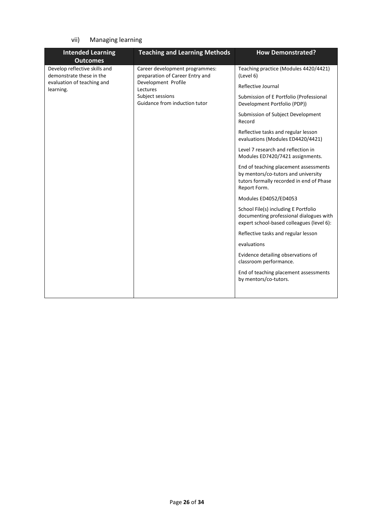### vii) Managing learning

| <b>Intended Learning</b><br><b>Outcomes</b>               | <b>Teaching and Learning Methods</b>                              | <b>How Demonstrated?</b>                                                                                                                 |                                                                         |
|-----------------------------------------------------------|-------------------------------------------------------------------|------------------------------------------------------------------------------------------------------------------------------------------|-------------------------------------------------------------------------|
| Develop reflective skills and<br>demonstrate these in the | Career development programmes:<br>preparation of Career Entry and | Teaching practice (Modules 4420/4421)<br>(Level 6)                                                                                       |                                                                         |
| evaluation of teaching and<br>learning.                   | Development Profile<br>Lectures                                   | Reflective Journal                                                                                                                       |                                                                         |
|                                                           | Subject sessions<br>Guidance from induction tutor                 |                                                                                                                                          | Submission of E Portfolio (Professional<br>Development Portfolio (PDP)) |
|                                                           |                                                                   | Submission of Subject Development<br>Record                                                                                              |                                                                         |
|                                                           |                                                                   | Reflective tasks and regular lesson<br>evaluations (Modules ED4420/4421)                                                                 |                                                                         |
|                                                           |                                                                   | Level 7 research and reflection in<br>Modules ED7420/7421 assignments.                                                                   |                                                                         |
|                                                           |                                                                   | End of teaching placement assessments<br>by mentors/co-tutors and university<br>tutors formally recorded in end of Phase<br>Report Form. |                                                                         |
|                                                           |                                                                   | Modules ED4052/ED4053                                                                                                                    |                                                                         |
|                                                           |                                                                   | School File(s) including E Portfolio<br>documenting professional dialogues with<br>expert school-based colleagues (level 6):             |                                                                         |
|                                                           |                                                                   | Reflective tasks and regular lesson                                                                                                      |                                                                         |
|                                                           |                                                                   | evaluations                                                                                                                              |                                                                         |
|                                                           |                                                                   | Evidence detailing observations of<br>classroom performance.                                                                             |                                                                         |
|                                                           |                                                                   | End of teaching placement assessments<br>by mentors/co-tutors.                                                                           |                                                                         |
|                                                           |                                                                   |                                                                                                                                          |                                                                         |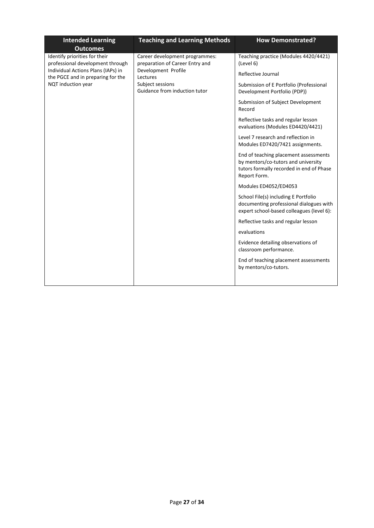| <b>Intended Learning</b><br><b>Outcomes</b>                             | <b>Teaching and Learning Methods</b>                                                                                                                      | <b>How Demonstrated?</b>                                                                                                                 |
|-------------------------------------------------------------------------|-----------------------------------------------------------------------------------------------------------------------------------------------------------|------------------------------------------------------------------------------------------------------------------------------------------|
| Identify priorities for their<br>professional development through       | Career development programmes:<br>preparation of Career Entry and<br>Development Profile<br>Lectures<br>Subject sessions<br>Guidance from induction tutor | Teaching practice (Modules 4420/4421)<br>(Level 6)                                                                                       |
| Individual Actions Plans (IAPs) in<br>the PGCE and in preparing for the |                                                                                                                                                           | Reflective Journal                                                                                                                       |
| NQT induction year                                                      |                                                                                                                                                           | Submission of E Portfolio (Professional<br>Development Portfolio (PDP))                                                                  |
|                                                                         |                                                                                                                                                           | Submission of Subject Development<br>Record                                                                                              |
|                                                                         |                                                                                                                                                           | Reflective tasks and regular lesson<br>evaluations (Modules ED4420/4421)                                                                 |
|                                                                         |                                                                                                                                                           | Level 7 research and reflection in<br>Modules ED7420/7421 assignments.                                                                   |
|                                                                         |                                                                                                                                                           | End of teaching placement assessments<br>by mentors/co-tutors and university<br>tutors formally recorded in end of Phase<br>Report Form. |
|                                                                         |                                                                                                                                                           | Modules ED4052/ED4053                                                                                                                    |
|                                                                         |                                                                                                                                                           | School File(s) including E Portfolio<br>documenting professional dialogues with<br>expert school-based colleagues (level 6):             |
|                                                                         |                                                                                                                                                           | Reflective tasks and regular lesson                                                                                                      |
|                                                                         |                                                                                                                                                           | evaluations                                                                                                                              |
|                                                                         |                                                                                                                                                           | Evidence detailing observations of<br>classroom performance.                                                                             |
|                                                                         |                                                                                                                                                           | End of teaching placement assessments<br>by mentors/co-tutors.                                                                           |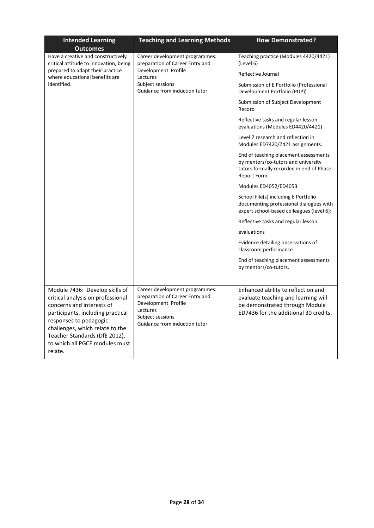| <b>Intended Learning</b><br><b>Outcomes</b>                                                                                                                                                                                                                                      | <b>Teaching and Learning Methods</b>                                                                                                                      | <b>How Demonstrated?</b>                                                                                                                             |
|----------------------------------------------------------------------------------------------------------------------------------------------------------------------------------------------------------------------------------------------------------------------------------|-----------------------------------------------------------------------------------------------------------------------------------------------------------|------------------------------------------------------------------------------------------------------------------------------------------------------|
| Have a creative and constructively<br>critical attitude to innovation, being<br>prepared to adapt their practice<br>where educational benefits are                                                                                                                               | Career development programmes:<br>preparation of Career Entry and<br>Development Profile<br>Lectures<br>Subject sessions<br>Guidance from induction tutor | Teaching practice (Modules 4420/4421)<br>(Level 6)                                                                                                   |
|                                                                                                                                                                                                                                                                                  |                                                                                                                                                           | Reflective Journal                                                                                                                                   |
| identified.                                                                                                                                                                                                                                                                      |                                                                                                                                                           | Submission of E Portfolio (Professional<br>Development Portfolio (PDP))                                                                              |
|                                                                                                                                                                                                                                                                                  |                                                                                                                                                           | Submission of Subject Development<br>Record                                                                                                          |
|                                                                                                                                                                                                                                                                                  |                                                                                                                                                           | Reflective tasks and regular lesson<br>evaluations (Modules ED4420/4421)                                                                             |
|                                                                                                                                                                                                                                                                                  |                                                                                                                                                           | Level 7 research and reflection in<br>Modules ED7420/7421 assignments.                                                                               |
|                                                                                                                                                                                                                                                                                  |                                                                                                                                                           | End of teaching placement assessments<br>by mentors/co-tutors and university<br>tutors formally recorded in end of Phase<br>Report Form.             |
|                                                                                                                                                                                                                                                                                  |                                                                                                                                                           | Modules ED4052/ED4053                                                                                                                                |
|                                                                                                                                                                                                                                                                                  |                                                                                                                                                           | School File(s) including E Portfolio<br>documenting professional dialogues with<br>expert school-based colleagues (level 6):                         |
|                                                                                                                                                                                                                                                                                  |                                                                                                                                                           | Reflective tasks and regular lesson                                                                                                                  |
|                                                                                                                                                                                                                                                                                  |                                                                                                                                                           | evaluations                                                                                                                                          |
|                                                                                                                                                                                                                                                                                  |                                                                                                                                                           | Evidence detailing observations of<br>classroom performance.                                                                                         |
|                                                                                                                                                                                                                                                                                  |                                                                                                                                                           | End of teaching placement assessments<br>by mentors/co-tutors.                                                                                       |
| Module 7436: Develop skills of<br>critical analysis on professional<br>concerns and interests of<br>participants, including practical<br>responses to pedagogic<br>challenges, which relate to the<br>Teacher Standards (DfE 2012),<br>to which all PGCE modules must<br>relate. | Career development programmes:<br>preparation of Career Entry and<br>Development Profile<br>Lectures<br>Subject sessions<br>Guidance from induction tutor | Enhanced ability to reflect on and<br>evaluate teaching and learning will<br>be demonstrated through Module<br>ED7436 for the additional 30 credits. |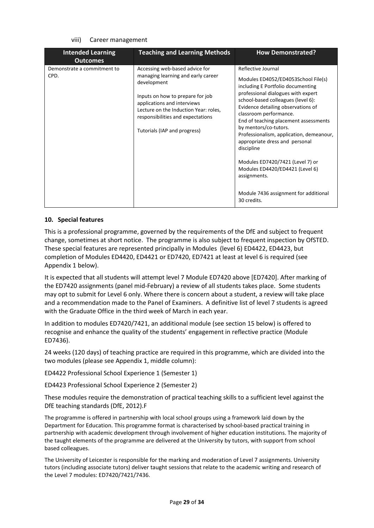#### viii) Career management

| <b>Intended Learning</b><br><b>Outcomes</b> | <b>Teaching and Learning Methods</b>                                                                                                                                                                                                                                 | <b>How Demonstrated?</b>                                                                                                                                                                                                                                                                                                                                                                                                                                                                        |
|---------------------------------------------|----------------------------------------------------------------------------------------------------------------------------------------------------------------------------------------------------------------------------------------------------------------------|-------------------------------------------------------------------------------------------------------------------------------------------------------------------------------------------------------------------------------------------------------------------------------------------------------------------------------------------------------------------------------------------------------------------------------------------------------------------------------------------------|
| Demonstrate a commitment to<br>CPD.         | Accessing web-based advice for<br>managing learning and early career<br>development<br>Inputs on how to prepare for job<br>applications and interviews<br>Lecture on the Induction Year: roles,<br>responsibilities and expectations<br>Tutorials (IAP and progress) | Reflective Journal<br>Modules ED4052/ED4053School File(s)<br>including E Portfolio documenting<br>professional dialogues with expert<br>school-based colleagues (level 6):<br>Evidence detailing observations of<br>classroom performance.<br>End of teaching placement assessments<br>by mentors/co-tutors.<br>Professionalism, application, demeanour,<br>appropriate dress and personal<br>discipline<br>Modules ED7420/7421 (Level 7) or<br>Modules ED4420/ED4421 (Level 6)<br>assignments. |
|                                             |                                                                                                                                                                                                                                                                      | Module 7436 assignment for additional<br>30 credits.                                                                                                                                                                                                                                                                                                                                                                                                                                            |

#### **10. Special features**

This is a professional programme, governed by the requirements of the DfE and subject to frequent change, sometimes at short notice. The programme is also subject to frequent inspection by OfSTED. These special features are represented principally in Modules (level 6) ED4422, ED4423, but completion of Modules ED4420, ED4421 or ED7420, ED7421 at least at level 6 is required (see Appendix 1 below).

It is expected that all students will attempt level 7 Module ED7420 above [ED7420]. After marking of the ED7420 assignments (panel mid-February) a review of all students takes place. Some students may opt to submit for Level 6 only. Where there is concern about a student, a review will take place and a recommendation made to the Panel of Examiners. A definitive list of level 7 students is agreed with the Graduate Office in the third week of March in each year.

In addition to modules ED7420/7421, an additional module (see section 15 below) is offered to recognise and enhance the quality of the students' engagement in reflective practice (Module ED7436).

24 weeks (120 days) of teaching practice are required in this programme, which are divided into the two modules (please see Appendix 1, middle column):

ED4422 Professional School Experience 1 (Semester 1)

ED4423 Professional School Experience 2 (Semester 2)

These modules require the demonstration of practical teaching skills to a sufficient level against the DfE teaching standards (DfE, 2012).F

The programme is offered in partnership with local school groups using a framework laid down by the Department for Education. This programme format is characterised by school-based practical training in partnership with academic development through involvement of higher education institutions. The majority of the taught elements of the programme are delivered at the University by tutors, with support from school based colleagues.

The University of Leicester is responsible for the marking and moderation of Level 7 assignments. University tutors (including associate tutors) deliver taught sessions that relate to the academic writing and research of the Level 7 modules: ED7420/7421/7436.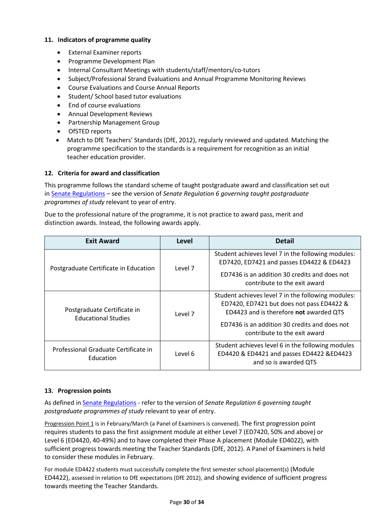### **11. Indicators of programme quality**

- External Examiner reports
- Programme Development Plan
- Internal Consultant Meetings with students/staff/mentors/co-tutors
- Subject/Professional Strand Evaluations and Annual Programme Monitoring Reviews
- Course Evaluations and Course Annual Reports
- Student/ School based tutor evaluations
- End of course evaluations
- Annual Development Reviews
- Partnership Management Group
- OfSTED reports
- Match to DfE Teachers' Standards (DfE, 2012), regularly reviewed and updated. Matching the programme specification to the standards is a requirement for recognition as an initial teacher education provider.

### **12. Criteria for award and classification**

This programme follows the standard scheme of taught postgraduate award and classification set out i[n Senate Regulations](http://www.le.ac.uk/senate-regulations) – see the version of *Senate Regulation 6 governing taught postgraduate programmes of study* relevant to year of entry.

Due to the professional nature of the programme, it is not practice to award pass, merit and distinction awards. Instead, the following awards apply.

| <b>Exit Award</b>                                         | Level   | <b>Detail</b>                                                                                                                                                                                                               |
|-----------------------------------------------------------|---------|-----------------------------------------------------------------------------------------------------------------------------------------------------------------------------------------------------------------------------|
| Postgraduate Certificate in Education                     | Level 7 | Student achieves level 7 in the following modules:<br>ED7420, ED7421 and passes ED4422 & ED4423<br>ED7436 is an addition 30 credits and does not<br>contribute to the exit award                                            |
| Postgraduate Certificate in<br><b>Educational Studies</b> | Level 7 | Student achieves level 7 in the following modules:<br>ED7420, ED7421 but does not pass ED4422 &<br>ED4423 and is therefore not awarded QTS<br>ED7436 is an addition 30 credits and does not<br>contribute to the exit award |
| Professional Graduate Certificate in<br>Education         | Level 6 | Student achieves level 6 in the following modules<br>ED4420 & ED4421 and passes ED4422 &ED4423<br>and so is awarded QTS                                                                                                     |

### **13. Progression points**

As defined i[n Senate Regulations](http://www.le.ac.uk/senate-regulation6) - refer to the version of *Senate Regulation 6 governing taught postgraduate programmes of study* relevant to year of entry.

Progression Point 1 is in February/March (a Panel of Examiners is convened). The first progression point requires students to pass the first assignment module at either Level 7 (ED7420, 50% and above) or Level 6 (ED4420, 40-49%) and to have completed their Phase A placement (Module ED4022), with sufficient progress towards meeting the Teacher Standards (DfE, 2012). A Panel of Examiners is held to consider these modules in February.

For module ED4422 students must successfully complete the first semester school placement(s) (Module ED4422), assessed in relation to DfE expectations (DfE 2012), and showing evidence of sufficient progress towards meeting the Teacher Standards.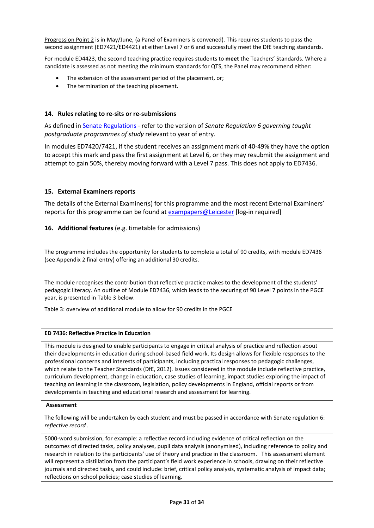Progression Point 2 is in May/June, (a Panel of Examiners is convened). This requires students to pass the second assignment (ED7421/ED4421) at either Level 7 or 6 and successfully meet the DfE teaching standards.

For module ED4423, the second teaching practice requires students to **meet** the Teachers' Standards. Where a candidate is assessed as not meeting the minimum standards for QTS, the Panel may recommend either:

- The extension of the assessment period of the placement, or;
- The termination of the teaching placement.

### **14. Rules relating to re-sits or re-submissions**

As defined i[n Senate Regulations](http://www.le.ac.uk/senate-regulation6) - refer to the version of *Senate Regulation 6 governing taught postgraduate programmes of study* relevant to year of entry.

In modules ED7420/7421, if the student receives an assignment mark of 40-49% they have the option to accept this mark and pass the first assignment at Level 6, or they may resubmit the assignment and attempt to gain 50%, thereby moving forward with a Level 7 pass. This does not apply to ED7436.

#### **15. External Examiners reports**

The details of the External Examiner(s) for this programme and the most recent External Examiners' reports for this programme can be found at [exampapers@Leicester](https://exampapers.le.ac.uk/) [log-in required]

### **16. Additional features** (e.g. timetable for admissions)

The programme includes the opportunity for students to complete a total of 90 credits, with module ED7436 (see Appendix 2 final entry) offering an additional 30 credits.

The module recognises the contribution that reflective practice makes to the development of the students' pedagogic literacy. An outline of Module ED7436, which leads to the securing of 90 Level 7 points in the PGCE year, is presented in Table 3 below.

Table 3: overview of additional module to allow for 90 credits in the PGCE

#### **ED 7436: Reflective Practice in Education**

This module is designed to enable participants to engage in critical analysis of practice and reflection about their developments in education during school-based field work. Its design allows for flexible responses to the professional concerns and interests of participants, including practical responses to pedagogic challenges, which relate to the Teacher Standards (DfE, 2012). Issues considered in the module include reflective practice, curriculum development, change in education, case studies of learning, impact studies exploring the impact of teaching on learning in the classroom, legislation, policy developments in England, official reports or from developments in teaching and educational research and assessment for learning.

#### **Assessment**

The following will be undertaken by each student and must be passed in accordance with Senate regulation 6: *reflective record .*

5000-word submission, for example: a reflective record including evidence of critical reflection on the outcomes of directed tasks, policy analyses, pupil data analysis (anonymised), including reference to policy and research in relation to the participants' use of theory and practice in the classroom. This assessment element will represent a distillation from the participant's field work experience in schools, drawing on their reflective journals and directed tasks, and could include: brief, critical policy analysis, systematic analysis of impact data; reflections on school policies; case studies of learning.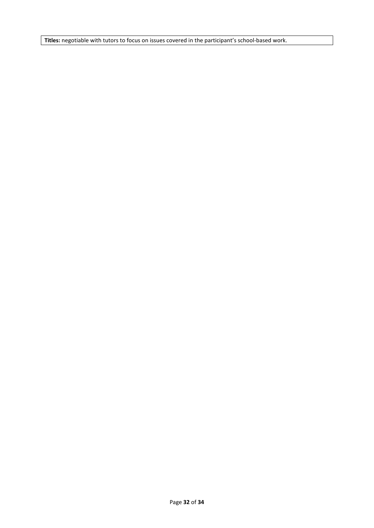**Titles:** negotiable with tutors to focus on issues covered in the participant's school-based work.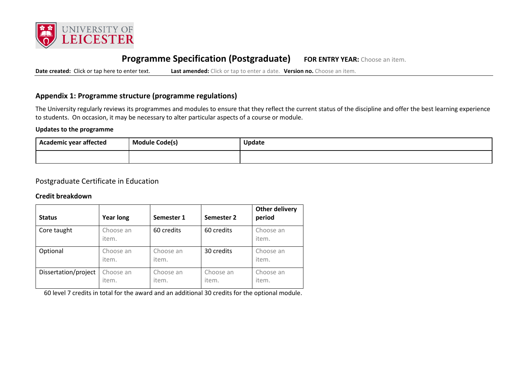

# **Programme Specification (Postgraduate) FOR ENTRY YEAR:** Choose an item.

**Date created:** Click or tap here to enter text. **Last amended:** Click or tap to enter a date. **Version no.** Choose an item.

### **Appendix 1: Programme structure (programme regulations)**

The University regularly reviews its programmes and modules to ensure that they reflect the current status of the discipline and offer the best learning experience to students. On occasion, it may be necessary to alter particular aspects of a course or module.

### **Updates to the programme**

| <br>Academic year affected | Module Code(s) | Update |
|----------------------------|----------------|--------|
|                            |                |        |

### Postgraduate Certificate in Education

#### **Credit breakdown**

| <b>Status</b>        | <b>Year long</b>   | Semester 1         | Semester 2         | Other delivery<br>period |
|----------------------|--------------------|--------------------|--------------------|--------------------------|
| Core taught          | Choose an<br>item. | 60 credits         | 60 credits         | Choose an<br>item.       |
| Optional             | Choose an<br>item. | Choose an<br>item. | 30 credits         | Choose an<br>item.       |
| Dissertation/project | Choose an<br>item. | Choose an<br>item. | Choose an<br>item. | Choose an<br>item.       |

60 level 7 credits in total for the award and an additional 30 credits for the optional module.